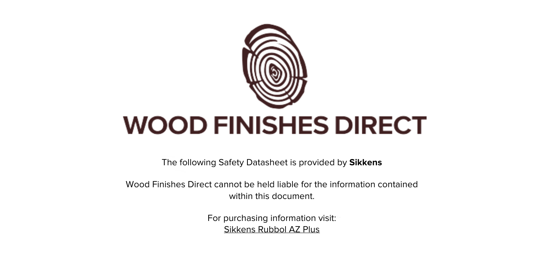

The following Safety Datasheet is provided by **Sikkens**

Wood Finishes Direct cannot be held liable for the information contained within this document.

> For purchasing information visit: [Sikkens Rubbol AZ Plus](https://www.wood-finishes-direct.com/product/sikkens-rubbol-az-plus)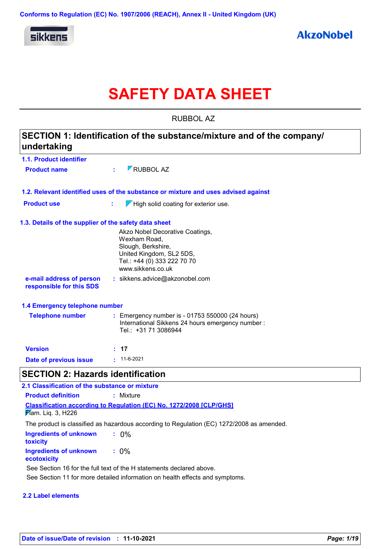

# **SAFETY DATA SHEET**

RUBBOL AZ

| undertaking                                           | SECTION 1: Identification of the substance/mixture and of the company/                                                                                |
|-------------------------------------------------------|-------------------------------------------------------------------------------------------------------------------------------------------------------|
| 1.1. Product identifier                               |                                                                                                                                                       |
| <b>Product name</b>                                   | RUBBOL AZ                                                                                                                                             |
|                                                       | 1.2. Relevant identified uses of the substance or mixture and uses advised against                                                                    |
| <b>Product use</b>                                    | $\sqrt{}$ High solid coating for exterior use.<br>÷.                                                                                                  |
| 1.3. Details of the supplier of the safety data sheet |                                                                                                                                                       |
|                                                       | Akzo Nobel Decorative Coatings,<br>Wexham Road,<br>Slough, Berkshire,<br>United Kingdom, SL2 5DS,<br>Tel.: +44 (0) 333 222 70 70<br>www.sikkens.co.uk |
| e-mail address of person<br>responsible for this SDS  | : sikkens.advice@akzonobel.com                                                                                                                        |
| 1.4 Emergency telephone number                        |                                                                                                                                                       |
| <b>Telephone number</b>                               | : Emergency number is - 01753 550000 (24 hours)<br>International Sikkens 24 hours emergency number:<br>Tel.: +31 71 3086944                           |
| <b>Version</b>                                        | : 17                                                                                                                                                  |
| Date of previous issue                                | $\cdot$ 11-6-2021                                                                                                                                     |
| <b>SECTION 2: Hazards identification</b>              |                                                                                                                                                       |
| 2.1 Classification of the substance or mixture        |                                                                                                                                                       |
| <b>Product definition</b>                             | : Mixture                                                                                                                                             |
| Mam. Liq. 3, H226                                     | <b>Classification according to Regulation (EC) No. 1272/2008 [CLP/GHS]</b>                                                                            |
|                                                       | The product is classified as hazardous according to Regulation (EC) 1272/2008 as amended.                                                             |
| <b>Ingredients of unknown</b><br>toxicity             | $: 0\%$                                                                                                                                               |
| <b>Ingredients of unknown</b><br>ecotoxicity          | $: 0\%$                                                                                                                                               |
|                                                       | Ree Restion 16 for the full tout of the United ments declared shous                                                                                   |

See Section 16 for the full text of the H statements declared above.

See Section 11 for more detailed information on health effects and symptoms.

### **2.2 Label elements**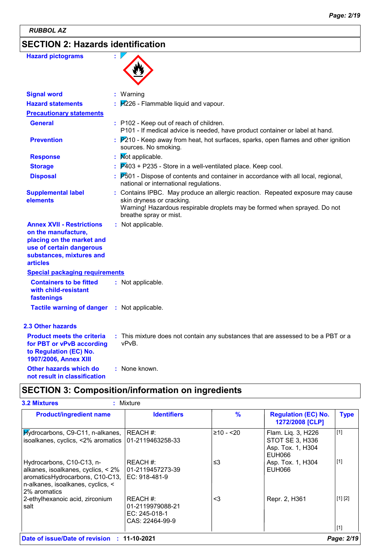*RUBBOL AZ*

## **SECTION 2: Hazards identification**

| <b>Hazard pictograms</b>                                                                                                                                        |                                                                                                                                                                                                                    |
|-----------------------------------------------------------------------------------------------------------------------------------------------------------------|--------------------------------------------------------------------------------------------------------------------------------------------------------------------------------------------------------------------|
| <b>Signal word</b>                                                                                                                                              | : Warning                                                                                                                                                                                                          |
| <b>Hazard statements</b>                                                                                                                                        | H226 - Flammable liquid and vapour.                                                                                                                                                                                |
| <b>Precautionary statements</b>                                                                                                                                 |                                                                                                                                                                                                                    |
| <b>General</b>                                                                                                                                                  | : P102 - Keep out of reach of children.<br>P101 - If medical advice is needed, have product container or label at hand.                                                                                            |
| <b>Prevention</b>                                                                                                                                               | $P210$ - Keep away from heat, hot surfaces, sparks, open flames and other ignition<br>sources. No smoking.                                                                                                         |
| <b>Response</b>                                                                                                                                                 | Mot applicable.                                                                                                                                                                                                    |
| <b>Storage</b>                                                                                                                                                  | $P403$ + P235 - Store in a well-ventilated place. Keep cool.                                                                                                                                                       |
| <b>Disposal</b>                                                                                                                                                 | $P_{001}$ - Dispose of contents and container in accordance with all local, regional,<br>national or international regulations.                                                                                    |
| <b>Supplemental label</b><br>elements                                                                                                                           | : Contains IPBC. May produce an allergic reaction. Repeated exposure may cause<br>skin dryness or cracking.<br>Warning! Hazardous respirable droplets may be formed when sprayed. Do not<br>breathe spray or mist. |
| <b>Annex XVII - Restrictions</b><br>on the manufacture,<br>placing on the market and<br>use of certain dangerous<br>substances, mixtures and<br><b>articles</b> | : Not applicable.                                                                                                                                                                                                  |
| <b>Special packaging requirements</b>                                                                                                                           |                                                                                                                                                                                                                    |
| <b>Containers to be fitted</b><br>with child-resistant<br>fastenings                                                                                            | : Not applicable.                                                                                                                                                                                                  |
| <b>Tactile warning of danger</b>                                                                                                                                | : Not applicable.                                                                                                                                                                                                  |
| <b>2.3 Other hazards</b>                                                                                                                                        |                                                                                                                                                                                                                    |
| <b>Product meets the criteria</b><br>for PBT or vPvB according<br>to Regulation (EC) No.<br>1907/2006, Annex XIII                                               | : This mixture does not contain any substances that are assessed to be a PBT or a<br>vPvB.                                                                                                                         |
| <b>Other hazards which do</b><br>not result in classification                                                                                                   | : None known.                                                                                                                                                                                                      |

## **SECTION 3: Composition/information on ingredients**

| <b>Product/ingredient name</b>                                                                                                                                                               | <b>Identifiers</b>                                               | $\frac{9}{6}$ | <b>Regulation (EC) No.</b><br>1272/2008 [CLP]                        | <b>Type</b> |
|----------------------------------------------------------------------------------------------------------------------------------------------------------------------------------------------|------------------------------------------------------------------|---------------|----------------------------------------------------------------------|-------------|
| $Hydrocarbons, C9-C11, n-alkanes,   REACH #:$<br>isoalkanes, cyclics, <2% aromatics 01-2119463258-33                                                                                         |                                                                  | $≥10 - 20$    | Flam. Liq. 3, H226<br>STOT SE 3, H336<br>Asp. Tox. 1, H304<br>EUH066 | [1]         |
| Hydrocarbons, C10-C13, n-<br>alkanes, isoalkanes, cyclics, $< 2\%$   01-2119457273-39<br>aromaticsHydrocarbons, C10-C13,  EC: 918-481-9<br>n-alkanes, isoalkanes, cyclics, <<br>2% aromatics | REACH #:                                                         | ≤3            | Asp. Tox. 1, H304<br>EUH066                                          | $\vert$ [1] |
| 2-ethylhexanoic acid, zirconium<br>salt                                                                                                                                                      | REACH #:<br>01-2119979088-21<br>EC: 245-018-1<br>CAS: 22464-99-9 | $<$ 3         | Repr. 2, H361                                                        | [1] [2]     |
|                                                                                                                                                                                              |                                                                  |               |                                                                      | [1]         |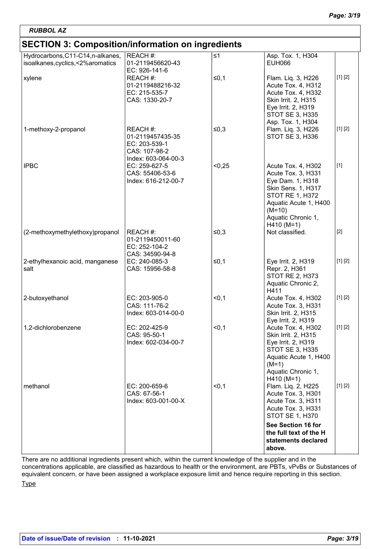## **SECTION 3: Composition/information on ingredients**

| 119119190000                                                            |                                                                                       |          |                                                                                                                                                                                                |         |
|-------------------------------------------------------------------------|---------------------------------------------------------------------------------------|----------|------------------------------------------------------------------------------------------------------------------------------------------------------------------------------------------------|---------|
| Hydrocarbons, C11-C14, n-alkanes,<br>isoalkanes, cyclics, <2% aromatics | REACH #:<br>01-2119456620-43                                                          | $\leq 1$ | Asp. Tox. 1, H304<br>EUH066                                                                                                                                                                    |         |
| xylene                                                                  | EC: 926-141-6<br>REACH #:<br>01-2119488216-32<br>EC: 215-535-7<br>CAS: 1330-20-7      | $≤0,1$   | Flam. Liq. 3, H226<br>Acute Tox. 4, H312<br>Acute Tox. 4, H332<br>Skin Irrit. 2, H315<br>Eye Irrit. 2, H319<br>STOT SE 3, H335<br>Asp. Tox. 1, H304                                            | [1] [2] |
| 1-methoxy-2-propanol                                                    | REACH #:<br>01-2119457435-35<br>EC: 203-539-1<br>CAS: 107-98-2<br>Index: 603-064-00-3 | $≤0,3$   | Flam. Liq. 3, H226<br>STOT SE 3, H336                                                                                                                                                          | [1] [2] |
| <b>IPBC</b>                                                             | EC: 259-627-5<br>CAS: 55406-53-6<br>Index: 616-212-00-7                               | < 0,25   | Acute Tox. 4, H302<br>Acute Tox. 3, H331<br>Eye Dam. 1, H318<br><b>Skin Sens. 1, H317</b><br><b>STOT RE 1, H372</b><br>Aquatic Acute 1, H400<br>$(M=10)$<br>Aquatic Chronic 1,<br>$H410 (M=1)$ | $[1]$   |
| (2-methoxymethylethoxy)propanol                                         | REACH #:<br>01-2119450011-60<br>EC: 252-104-2<br>CAS: 34590-94-8                      | $≤0,3$   | Not classified.                                                                                                                                                                                | $[2]$   |
| 2-ethylhexanoic acid, manganese<br>salt                                 | EC: 240-085-3<br>CAS: 15956-58-8                                                      | $≤0,1$   | Eye Irrit. 2, H319<br>Repr. 2, H361<br>STOT RE 2, H373<br>Aquatic Chronic 2,<br>H411                                                                                                           | [1] [2] |
| 2-butoxyethanol                                                         | EC: 203-905-0<br>CAS: 111-76-2<br>Index: 603-014-00-0                                 | < 0, 1   | Acute Tox. 4, H302<br>Acute Tox. 3, H331<br>Skin Irrit. 2, H315<br>Eye Irrit. 2, H319                                                                                                          | [1] [2] |
| 1,2-dichlorobenzene                                                     | EC: 202-425-9<br>CAS: 95-50-1<br>Index: 602-034-00-7                                  | < 0, 1   | Acute Tox. 4, H302<br>Skin Irrit. 2, H315<br>Eye Irrit. 2, H319<br>STOT SE 3, H335<br>Aquatic Acute 1, H400<br>$(M=1)$<br>Aquatic Chronic 1,<br>$H410 (M=1)$                                   | [1] [2] |
| methanol                                                                | EC: 200-659-6<br>CAS: 67-56-1<br>Index: 603-001-00-X                                  | < 0, 1   | Flam. Liq. 2, H225<br>Acute Tox. 3, H301<br>Acute Tox. 3, H311<br>Acute Tox. 3, H331<br>STOT SE 1, H370                                                                                        | [1] [2] |
|                                                                         |                                                                                       |          | See Section 16 for<br>the full text of the H<br>statements declared<br>above.                                                                                                                  |         |

There are no additional ingredients present which, within the current knowledge of the supplier and in the concentrations applicable, are classified as hazardous to health or the environment, are PBTs, vPvBs or Substances of equivalent concern, or have been assigned a workplace exposure limit and hence require reporting in this section.

Type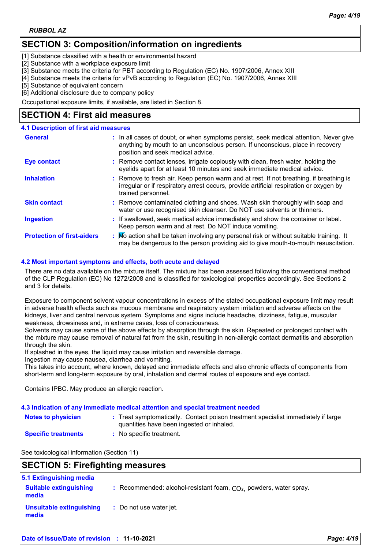## **SECTION 3: Composition/information on ingredients**

[1] Substance classified with a health or environmental hazard

[2] Substance with a workplace exposure limit

[3] Substance meets the criteria for PBT according to Regulation (EC) No. 1907/2006, Annex XIII

[4] Substance meets the criteria for vPvB according to Regulation (EC) No. 1907/2006, Annex XIII

[5] Substance of equivalent concern

[6] Additional disclosure due to company policy

Occupational exposure limits, if available, are listed in Section 8.

## **SECTION 4: First aid measures**

### **4.1 Description of first aid measures**

| <b>General</b>                    | : In all cases of doubt, or when symptoms persist, seek medical attention. Never give<br>anything by mouth to an unconscious person. If unconscious, place in recovery<br>position and seek medical advice. |
|-----------------------------------|-------------------------------------------------------------------------------------------------------------------------------------------------------------------------------------------------------------|
| <b>Eye contact</b>                | : Remove contact lenses, irrigate copiously with clean, fresh water, holding the<br>eyelids apart for at least 10 minutes and seek immediate medical advice.                                                |
| <b>Inhalation</b>                 | : Remove to fresh air. Keep person warm and at rest. If not breathing, if breathing is<br>irregular or if respiratory arrest occurs, provide artificial respiration or oxygen by<br>trained personnel.      |
| <b>Skin contact</b>               | : Remove contaminated clothing and shoes. Wash skin thoroughly with soap and<br>water or use recognised skin cleanser. Do NOT use solvents or thinners.                                                     |
| <b>Ingestion</b>                  | : If swallowed, seek medical advice immediately and show the container or label.<br>Keep person warm and at rest. Do NOT induce vomiting.                                                                   |
| <b>Protection of first-aiders</b> | : No action shall be taken involving any personal risk or without suitable training. It<br>may be dangerous to the person providing aid to give mouth-to-mouth resuscitation.                               |

### **4.2 Most important symptoms and effects, both acute and delayed**

There are no data available on the mixture itself. The mixture has been assessed following the conventional method of the CLP Regulation (EC) No 1272/2008 and is classified for toxicological properties accordingly. See Sections 2 and 3 for details.

Exposure to component solvent vapour concentrations in excess of the stated occupational exposure limit may result in adverse health effects such as mucous membrane and respiratory system irritation and adverse effects on the kidneys, liver and central nervous system. Symptoms and signs include headache, dizziness, fatigue, muscular weakness, drowsiness and, in extreme cases, loss of consciousness.

Solvents may cause some of the above effects by absorption through the skin. Repeated or prolonged contact with the mixture may cause removal of natural fat from the skin, resulting in non-allergic contact dermatitis and absorption through the skin.

If splashed in the eyes, the liquid may cause irritation and reversible damage.

Ingestion may cause nausea, diarrhea and vomiting.

This takes into account, where known, delayed and immediate effects and also chronic effects of components from short-term and long-term exposure by oral, inhalation and dermal routes of exposure and eye contact.

Contains IPBC. May produce an allergic reaction.

### **4.3 Indication of any immediate medical attention and special treatment needed**

| <b>Notes to physician</b> | : Treat symptomatically. Contact poison treatment specialist immediately if large<br>quantities have been ingested or inhaled. |
|---------------------------|--------------------------------------------------------------------------------------------------------------------------------|
|                           |                                                                                                                                |

**Specific treatments :** No specific treatment.

See toxicological information (Section 11)

## **SECTION 5: Firefighting measures**

| 5.1 Extinguishing media                |                                                                    |
|----------------------------------------|--------------------------------------------------------------------|
| <b>Suitable extinguishing</b><br>media | : Recommended: alcohol-resistant foam, $CO2$ powders, water spray. |
| Unsuitable extinguishing<br>media      | : Do not use water jet.                                            |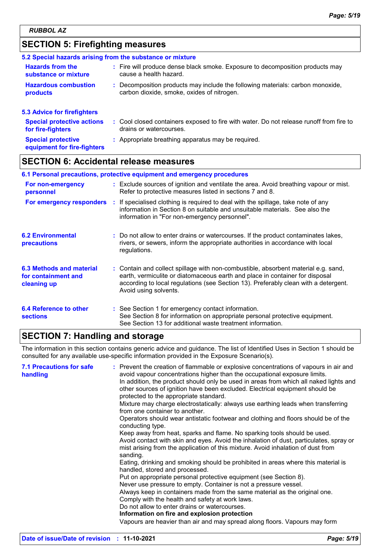## **SECTION 5: Firefighting measures**

|                                                          | 5.2 Special hazards arising from the substance or mixture                                                                    |
|----------------------------------------------------------|------------------------------------------------------------------------------------------------------------------------------|
| <b>Hazards from the</b><br>substance or mixture          | : Fire will produce dense black smoke. Exposure to decomposition products may<br>cause a health hazard.                      |
| <b>Hazardous combustion</b><br>products                  | : Decomposition products may include the following materials: carbon monoxide,<br>carbon dioxide, smoke, oxides of nitrogen. |
| 5.3 Advice for firefighters                              |                                                                                                                              |
| <b>Special protective actions</b><br>for fire-fighters   | : Cool closed containers exposed to fire with water. Do not release runoff from fire to<br>drains or watercourses.           |
| <b>Special protective</b><br>equipment for fire-fighters | : Appropriate breathing apparatus may be required.                                                                           |
|                                                          |                                                                                                                              |

## **SECTION 6: Accidental release measures**

| 6.1 Personal precautions, protective equipment and emergency procedures |  |                                                                                                                                                                                                                                                                                    |  |
|-------------------------------------------------------------------------|--|------------------------------------------------------------------------------------------------------------------------------------------------------------------------------------------------------------------------------------------------------------------------------------|--|
| For non-emergency<br>personnel                                          |  | : Exclude sources of ignition and ventilate the area. Avoid breathing vapour or mist.<br>Refer to protective measures listed in sections 7 and 8.                                                                                                                                  |  |
| For emergency responders                                                |  | : If specialised clothing is required to deal with the spillage, take note of any<br>information in Section 8 on suitable and unsuitable materials. See also the<br>information in "For non-emergency personnel".                                                                  |  |
| <b>6.2 Environmental</b><br>precautions                                 |  | : Do not allow to enter drains or watercourses. If the product contaminates lakes,<br>rivers, or sewers, inform the appropriate authorities in accordance with local<br>regulations.                                                                                               |  |
| 6.3 Methods and material<br>for containment and<br>cleaning up          |  | : Contain and collect spillage with non-combustible, absorbent material e.g. sand,<br>earth, vermiculite or diatomaceous earth and place in container for disposal<br>according to local regulations (see Section 13). Preferably clean with a detergent.<br>Avoid using solvents. |  |
| 6.4 Reference to other<br><b>sections</b>                               |  | : See Section 1 for emergency contact information.<br>See Section 8 for information on appropriate personal protective equipment.<br>See Section 13 for additional waste treatment information.                                                                                    |  |

## **SECTION 7: Handling and storage**

The information in this section contains generic advice and guidance. The list of Identified Uses in Section 1 should be consulted for any available use-specific information provided in the Exposure Scenario(s).

| <b>7.1 Precautions for safe</b><br>handling | : Prevent the creation of flammable or explosive concentrations of vapours in air and<br>avoid vapour concentrations higher than the occupational exposure limits.<br>In addition, the product should only be used in areas from which all naked lights and<br>other sources of ignition have been excluded. Electrical equipment should be<br>protected to the appropriate standard. |
|---------------------------------------------|---------------------------------------------------------------------------------------------------------------------------------------------------------------------------------------------------------------------------------------------------------------------------------------------------------------------------------------------------------------------------------------|
|                                             | Mixture may charge electrostatically: always use earthing leads when transferring<br>from one container to another.                                                                                                                                                                                                                                                                   |
|                                             | Operators should wear antistatic footwear and clothing and floors should be of the<br>conducting type.                                                                                                                                                                                                                                                                                |
|                                             | Keep away from heat, sparks and flame. No sparking tools should be used.<br>Avoid contact with skin and eyes. Avoid the inhalation of dust, particulates, spray or<br>mist arising from the application of this mixture. Avoid inhalation of dust from<br>sanding.                                                                                                                    |
|                                             | Eating, drinking and smoking should be prohibited in areas where this material is<br>handled, stored and processed.                                                                                                                                                                                                                                                                   |
|                                             | Put on appropriate personal protective equipment (see Section 8).                                                                                                                                                                                                                                                                                                                     |
|                                             | Never use pressure to empty. Container is not a pressure vessel.<br>Always keep in containers made from the same material as the original one.<br>Comply with the health and safety at work laws.<br>Do not allow to enter drains or watercourses.<br>Information on fire and explosion protection                                                                                    |
|                                             | Vapours are heavier than air and may spread along floors. Vapours may form                                                                                                                                                                                                                                                                                                            |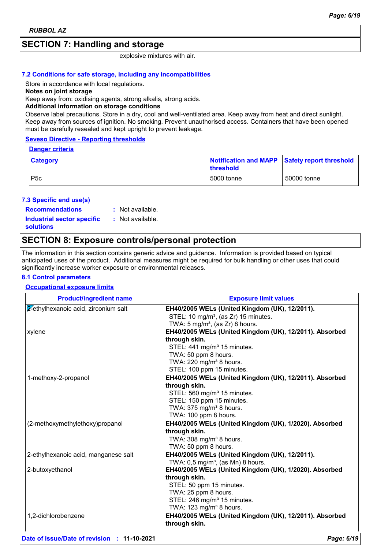## **SECTION 7: Handling and storage**

explosive mixtures with air.

### **7.2 Conditions for safe storage, including any incompatibilities**

Store in accordance with local regulations.

### **Notes on joint storage**

Keep away from: oxidising agents, strong alkalis, strong acids.

### **Additional information on storage conditions**

Observe label precautions. Store in a dry, cool and well-ventilated area. Keep away from heat and direct sunlight. Keep away from sources of ignition. No smoking. Prevent unauthorised access. Containers that have been opened must be carefully resealed and kept upright to prevent leakage.

### **Seveso Directive - Reporting thresholds**

### **Danger criteria**

| Category | Notification and MAPP Safety report threshold<br><b>Ithreshold</b> |             |
|----------|--------------------------------------------------------------------|-------------|
| P5c      | 5000 tonne                                                         | 50000 tonne |

### **7.3 Specific end use(s)**

**Recommendations :**

: Not available. : Not available.

**Industrial sector specific : solutions**

### **SECTION 8: Exposure controls/personal protection**

The information in this section contains generic advice and guidance. Information is provided based on typical anticipated uses of the product. Additional measures might be required for bulk handling or other uses that could significantly increase worker exposure or environmental releases.

### **8.1 Control parameters**

### **Occupational exposure limits**

| <b>Product/ingredient name</b>       | <b>Exposure limit values</b>                                                                                                                     |
|--------------------------------------|--------------------------------------------------------------------------------------------------------------------------------------------------|
| 2-ethylhexanoic acid, zirconium salt | EH40/2005 WELs (United Kingdom (UK), 12/2011).<br>STEL: 10 mg/m <sup>3</sup> , (as Zr) 15 minutes.<br>TWA: $5 \text{ mg/m}^3$ , (as Zr) 8 hours. |
| xylene                               | EH40/2005 WELs (United Kingdom (UK), 12/2011). Absorbed                                                                                          |
|                                      | through skin.                                                                                                                                    |
|                                      | STEL: 441 mg/m <sup>3</sup> 15 minutes.                                                                                                          |
|                                      | TWA: 50 ppm 8 hours.                                                                                                                             |
|                                      | TWA: 220 mg/m <sup>3</sup> 8 hours.                                                                                                              |
|                                      | STEL: 100 ppm 15 minutes.                                                                                                                        |
| 1-methoxy-2-propanol                 | EH40/2005 WELs (United Kingdom (UK), 12/2011). Absorbed                                                                                          |
|                                      | through skin.                                                                                                                                    |
|                                      | STEL: 560 mg/m <sup>3</sup> 15 minutes.                                                                                                          |
|                                      | STEL: 150 ppm 15 minutes.<br>TWA: 375 mg/m <sup>3</sup> 8 hours.                                                                                 |
|                                      | TWA: 100 ppm 8 hours.                                                                                                                            |
| (2-methoxymethylethoxy)propanol      | EH40/2005 WELs (United Kingdom (UK), 1/2020). Absorbed                                                                                           |
|                                      | through skin.                                                                                                                                    |
|                                      | TWA: 308 mg/m <sup>3</sup> 8 hours.                                                                                                              |
|                                      | TWA: 50 ppm 8 hours.                                                                                                                             |
| 2-ethylhexanoic acid, manganese salt | EH40/2005 WELs (United Kingdom (UK), 12/2011).                                                                                                   |
|                                      | TWA: $0.5 \text{ mg/m}^3$ , (as Mn) 8 hours.                                                                                                     |
| 2-butoxyethanol                      | EH40/2005 WELs (United Kingdom (UK), 1/2020). Absorbed                                                                                           |
|                                      | through skin.                                                                                                                                    |
|                                      | STEL: 50 ppm 15 minutes.                                                                                                                         |
|                                      | TWA: 25 ppm 8 hours.                                                                                                                             |
|                                      | STEL: 246 mg/m <sup>3</sup> 15 minutes.                                                                                                          |
|                                      | TWA: 123 mg/m <sup>3</sup> 8 hours.                                                                                                              |
| 1,2-dichlorobenzene                  | EH40/2005 WELs (United Kingdom (UK), 12/2011). Absorbed                                                                                          |
|                                      | through skin.                                                                                                                                    |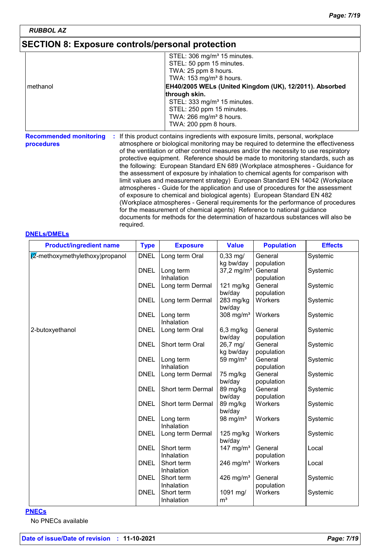## **SECTION 8: Exposure controls/personal protection**

|          | STEL: 306 mg/m <sup>3</sup> 15 minutes.<br>STEL: 50 ppm 15 minutes.<br>TWA: 25 ppm 8 hours.                                            |
|----------|----------------------------------------------------------------------------------------------------------------------------------------|
| methanol | TWA: $153$ mg/m <sup>3</sup> 8 hours.<br>EH40/2005 WELs (United Kingdom (UK), 12/2011). Absorbed<br>through skin.                      |
|          | STEL: 333 mg/m <sup>3</sup> 15 minutes.<br>STEL: 250 ppm 15 minutes.<br>TWA: $266$ mg/m <sup>3</sup> 8 hours.<br>TWA: 200 ppm 8 hours. |

**Recommended monitoring procedures :** If this product contains ingredients with exposure limits, personal, workplace atmosphere or biological monitoring may be required to determine the effectiveness of the ventilation or other control measures and/or the necessity to use respiratory protective equipment. Reference should be made to monitoring standards, such as the following: European Standard EN 689 (Workplace atmospheres - Guidance for the assessment of exposure by inhalation to chemical agents for comparison with limit values and measurement strategy) European Standard EN 14042 (Workplace atmospheres - Guide for the application and use of procedures for the assessment of exposure to chemical and biological agents) European Standard EN 482 (Workplace atmospheres - General requirements for the performance of procedures for the measurement of chemical agents) Reference to national guidance documents for methods for the determination of hazardous substances will also be required.

### **DNELs/DMELs**

| <b>Product/ingredient name</b> | <b>Type</b> | <b>Exposure</b>         | <b>Value</b>                  | <b>Population</b> | <b>Effects</b> |
|--------------------------------|-------------|-------------------------|-------------------------------|-------------------|----------------|
| 2-methoxymethylethoxy)propanol | <b>DNEL</b> | Long term Oral          | $0,33 \text{ mg}$             | General           | Systemic       |
|                                |             |                         | kg bw/day                     | population        |                |
|                                | <b>DNEL</b> | Long term               | 37,2 mg/m <sup>3</sup>        | General           | Systemic       |
|                                |             | Inhalation              |                               | population        |                |
|                                | <b>DNEL</b> | Long term Dermal        | 121 mg/kg                     | General           | Systemic       |
|                                |             |                         | bw/day                        | population        |                |
|                                | <b>DNEL</b> | Long term Dermal        | 283 mg/kg<br>bw/day           | Workers           | Systemic       |
|                                | <b>DNEL</b> | Long term<br>Inhalation | 308 mg/m $3$                  | Workers           | Systemic       |
| 2-butoxyethanol                | <b>DNEL</b> | Long term Oral          | $6,3$ mg/kg                   | General           | Systemic       |
|                                |             |                         | bw/day                        | population        |                |
|                                | <b>DNEL</b> | Short term Oral         | 26,7 mg/                      | General           | Systemic       |
|                                |             |                         | kg bw/day                     | population        |                |
|                                | <b>DNEL</b> | Long term               | 59 mg/ $m3$                   | General           | Systemic       |
|                                |             | Inhalation              |                               | population        |                |
|                                | <b>DNEL</b> | Long term Dermal        | 75 mg/kg                      | General           | Systemic       |
|                                |             |                         | bw/day                        | population        |                |
|                                | <b>DNEL</b> | Short term Dermal       | 89 mg/kg                      | General           | Systemic       |
|                                |             |                         | bw/day                        | population        |                |
|                                | <b>DNEL</b> | Short term Dermal       | 89 mg/kg                      | Workers           | Systemic       |
|                                |             |                         | bw/day                        |                   |                |
|                                | <b>DNEL</b> | Long term               | 98 mg/ $m3$                   | Workers           | Systemic       |
|                                |             | Inhalation              |                               |                   |                |
|                                | <b>DNEL</b> | Long term Dermal        | $125 \text{ mg/kg}$<br>bw/day | Workers           | Systemic       |
|                                | <b>DNEL</b> | Short term              | 147 mg/m $3$                  | General           | Local          |
|                                |             | Inhalation              |                               | population        |                |
|                                | <b>DNEL</b> | Short term              | 246 mg/m <sup>3</sup>         | Workers           | Local          |
|                                |             | Inhalation              |                               |                   |                |
|                                | <b>DNEL</b> | Short term              | 426 mg/ $m3$                  | General           | Systemic       |
|                                |             | Inhalation              |                               | population        |                |
|                                | <b>DNEL</b> | Short term              | 1091 mg/                      | Workers           | Systemic       |
|                                |             | Inhalation              | m <sup>3</sup>                |                   |                |

### **PNECs**

No PNECs available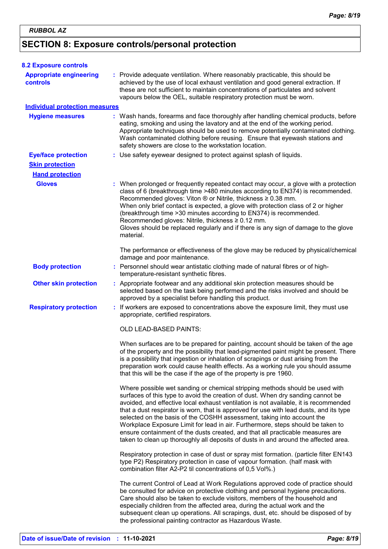## **SECTION 8: Exposure controls/personal protection**

| <b>8.2 Exposure controls</b>               |                                                                                                                                                                                                                                                                                                                                                                                                                                                                                                                                                                                                                                                                                         |
|--------------------------------------------|-----------------------------------------------------------------------------------------------------------------------------------------------------------------------------------------------------------------------------------------------------------------------------------------------------------------------------------------------------------------------------------------------------------------------------------------------------------------------------------------------------------------------------------------------------------------------------------------------------------------------------------------------------------------------------------------|
| <b>Appropriate engineering</b><br>controls | : Provide adequate ventilation. Where reasonably practicable, this should be<br>achieved by the use of local exhaust ventilation and good general extraction. If<br>these are not sufficient to maintain concentrations of particulates and solvent<br>vapours below the OEL, suitable respiratory protection must be worn.                                                                                                                                                                                                                                                                                                                                                             |
| <b>Individual protection measures</b>      |                                                                                                                                                                                                                                                                                                                                                                                                                                                                                                                                                                                                                                                                                         |
| <b>Hygiene measures</b>                    | : Wash hands, forearms and face thoroughly after handling chemical products, before<br>eating, smoking and using the lavatory and at the end of the working period.<br>Appropriate techniques should be used to remove potentially contaminated clothing.<br>Wash contaminated clothing before reusing. Ensure that eyewash stations and<br>safety showers are close to the workstation location.                                                                                                                                                                                                                                                                                       |
| <b>Eye/face protection</b>                 | : Use safety eyewear designed to protect against splash of liquids.                                                                                                                                                                                                                                                                                                                                                                                                                                                                                                                                                                                                                     |
| <b>Skin protection</b>                     |                                                                                                                                                                                                                                                                                                                                                                                                                                                                                                                                                                                                                                                                                         |
| <b>Hand protection</b>                     |                                                                                                                                                                                                                                                                                                                                                                                                                                                                                                                                                                                                                                                                                         |
| <b>Gloves</b>                              | : When prolonged or frequently repeated contact may occur, a glove with a protection<br>class of 6 (breakthrough time >480 minutes according to EN374) is recommended.<br>Recommended gloves: Viton ® or Nitrile, thickness ≥ 0.38 mm.<br>When only brief contact is expected, a glove with protection class of 2 or higher<br>(breakthrough time > 30 minutes according to EN374) is recommended.<br>Recommended gloves: Nitrile, thickness ≥ 0.12 mm.<br>Gloves should be replaced regularly and if there is any sign of damage to the glove<br>material.                                                                                                                             |
|                                            | The performance or effectiveness of the glove may be reduced by physical/chemical<br>damage and poor maintenance.                                                                                                                                                                                                                                                                                                                                                                                                                                                                                                                                                                       |
| <b>Body protection</b>                     | : Personnel should wear antistatic clothing made of natural fibres or of high-<br>temperature-resistant synthetic fibres.                                                                                                                                                                                                                                                                                                                                                                                                                                                                                                                                                               |
| <b>Other skin protection</b>               | : Appropriate footwear and any additional skin protection measures should be<br>selected based on the task being performed and the risks involved and should be<br>approved by a specialist before handling this product.                                                                                                                                                                                                                                                                                                                                                                                                                                                               |
| <b>Respiratory protection</b>              | : If workers are exposed to concentrations above the exposure limit, they must use<br>appropriate, certified respirators.                                                                                                                                                                                                                                                                                                                                                                                                                                                                                                                                                               |
|                                            | <b>OLD LEAD-BASED PAINTS:</b>                                                                                                                                                                                                                                                                                                                                                                                                                                                                                                                                                                                                                                                           |
|                                            | When surfaces are to be prepared for painting, account should be taken of the age<br>of the property and the possibility that lead-pigmented paint might be present. There<br>is a possibility that ingestion or inhalation of scrapings or dust arising from the<br>preparation work could cause health effects. As a working rule you should assume<br>that this will be the case if the age of the property is pre 1960.                                                                                                                                                                                                                                                             |
|                                            | Where possible wet sanding or chemical stripping methods should be used with<br>surfaces of this type to avoid the creation of dust. When dry sanding cannot be<br>avoided, and effective local exhaust ventilation is not available, it is recommended<br>that a dust respirator is worn, that is approved for use with lead dusts, and its type<br>selected on the basis of the COSHH assessment, taking into account the<br>Workplace Exposure Limit for lead in air. Furthermore, steps should be taken to<br>ensure containment of the dusts created, and that all practicable measures are<br>taken to clean up thoroughly all deposits of dusts in and around the affected area. |
|                                            | Respiratory protection in case of dust or spray mist formation. (particle filter EN143<br>type P2) Respiratory protection in case of vapour formation. (half mask with<br>combination filter A2-P2 til concentrations of 0,5 Vol%.)                                                                                                                                                                                                                                                                                                                                                                                                                                                     |
|                                            | The current Control of Lead at Work Regulations approved code of practice should<br>be consulted for advice on protective clothing and personal hygiene precautions.<br>Care should also be taken to exclude visitors, members of the household and<br>especially children from the affected area, during the actual work and the<br>subsequent clean up operations. All scrapings, dust, etc. should be disposed of by<br>the professional painting contractor as Hazardous Waste.                                                                                                                                                                                                     |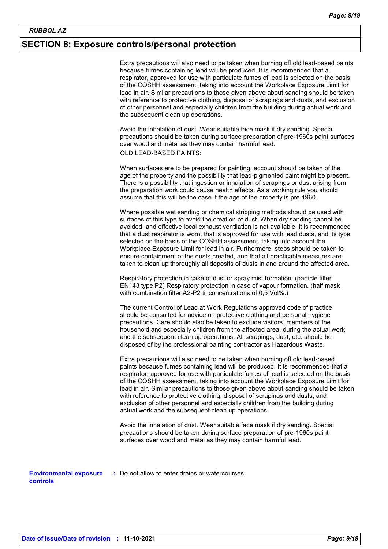### **SECTION 8: Exposure controls/personal protection**

Extra precautions will also need to be taken when burning off old lead-based paints because fumes containing lead will be produced. It is recommended that a respirator, approved for use with particulate fumes of lead is selected on the basis of the COSHH assessment, taking into account the Workplace Exposure Limit for lead in air. Similar precautions to those given above about sanding should be taken with reference to protective clothing, disposal of scrapings and dusts, and exclusion of other personnel and especially children from the building during actual work and the subsequent clean up operations.

Avoid the inhalation of dust. Wear suitable face mask if dry sanding. Special precautions should be taken during surface preparation of pre-1960s paint surfaces over wood and metal as they may contain harmful lead.

OLD LEAD-BASED PAINTS:

When surfaces are to be prepared for painting, account should be taken of the age of the property and the possibility that lead-pigmented paint might be present. There is a possibility that ingestion or inhalation of scrapings or dust arising from the preparation work could cause health effects. As a working rule you should assume that this will be the case if the age of the property is pre 1960.

Where possible wet sanding or chemical stripping methods should be used with surfaces of this type to avoid the creation of dust. When dry sanding cannot be avoided, and effective local exhaust ventilation is not available, it is recommended that a dust respirator is worn, that is approved for use with lead dusts, and its type selected on the basis of the COSHH assessment, taking into account the Workplace Exposure Limit for lead in air. Furthermore, steps should be taken to ensure containment of the dusts created, and that all practicable measures are taken to clean up thoroughly all deposits of dusts in and around the affected area.

Respiratory protection in case of dust or spray mist formation. (particle filter EN143 type P2) Respiratory protection in case of vapour formation. (half mask with combination filter A2-P2 til concentrations of 0,5 Vol%.)

The current Control of Lead at Work Regulations approved code of practice should be consulted for advice on protective clothing and personal hygiene precautions. Care should also be taken to exclude visitors, members of the household and especially children from the affected area, during the actual work and the subsequent clean up operations. All scrapings, dust, etc. should be disposed of by the professional painting contractor as Hazardous Waste.

Extra precautions will also need to be taken when burning off old lead-based paints because fumes containing lead will be produced. It is recommended that a respirator, approved for use with particulate fumes of lead is selected on the basis of the COSHH assessment, taking into account the Workplace Exposure Limit for lead in air. Similar precautions to those given above about sanding should be taken with reference to protective clothing, disposal of scrapings and dusts, and exclusion of other personnel and especially children from the building during actual work and the subsequent clean up operations.

Avoid the inhalation of dust. Wear suitable face mask if dry sanding. Special precautions should be taken during surface preparation of pre-1960s paint surfaces over wood and metal as they may contain harmful lead.

**Environmental exposure :** Do not allow to enter drains or watercourses. **controls**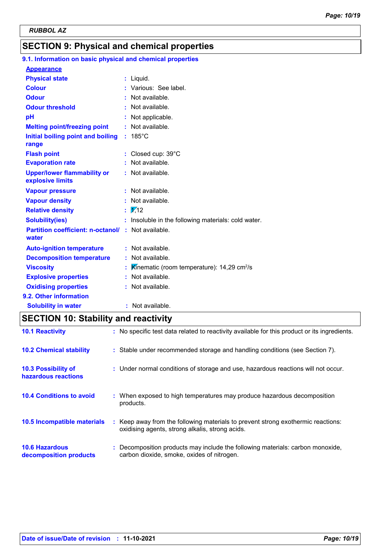## **SECTION 9: Physical and chemical properties**

#### 185°C **Initial boiling point and boiling : Physical state Melting point/freezing point range Vapour pressure Relative density Vapour density Solubility(ies)** Liquid. **:** Not available. **:**  $\frac{1}{12}$ Not available. **:** Not available. **: :** Insoluble in the following materials: cold water. **Odour** : Not available. **pH Colour Evaporation rate Auto-ignition temperature Flash point :** Not available. Closed cup: 39°C **:** Not available. **: :** Not available. **Partition coefficient: n-octanol/ :** Not available. Not applicable. **: Viscosity** (*K*inematic (room temperature): 14,29 cm<sup>2</sup>/s **Odour threshold water Upper/lower flammability or explosive limits Explosive properties :** Various: See label. **:** Not available. : Not available. **Oxidising properties** : Not available. **9.1. Information on basic physical and chemical properties Appearance 9.2. Other information Decomposition temperature :** Not available. **Solubility in water :** Not available.

### **SECTION 10: Stability and reactivity**

| <b>10.1 Reactivity</b>                            | : No specific test data related to reactivity available for this product or its ingredients.                                        |
|---------------------------------------------------|-------------------------------------------------------------------------------------------------------------------------------------|
| <b>10.2 Chemical stability</b>                    | : Stable under recommended storage and handling conditions (see Section 7).                                                         |
| <b>10.3 Possibility of</b><br>hazardous reactions | : Under normal conditions of storage and use, hazardous reactions will not occur.                                                   |
| <b>10.4 Conditions to avoid</b>                   | : When exposed to high temperatures may produce hazardous decomposition<br>products.                                                |
| 10.5 Incompatible materials                       | : Keep away from the following materials to prevent strong exothermic reactions:<br>oxidising agents, strong alkalis, strong acids. |
| <b>10.6 Hazardous</b><br>decomposition products   | Decomposition products may include the following materials: carbon monoxide,<br>carbon dioxide, smoke, oxides of nitrogen.          |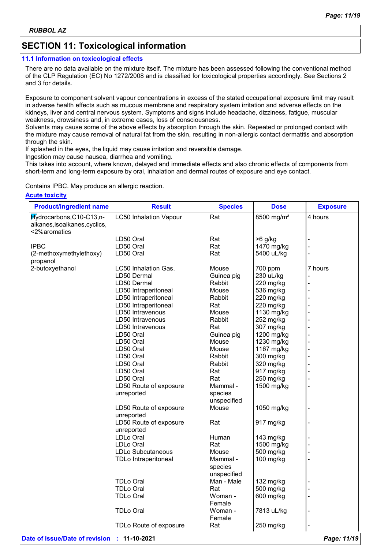## **SECTION 11: Toxicological information**

### **11.1 Information on toxicological effects**

There are no data available on the mixture itself. The mixture has been assessed following the conventional method of the CLP Regulation (EC) No 1272/2008 and is classified for toxicological properties accordingly. See Sections 2 and 3 for details.

Exposure to component solvent vapour concentrations in excess of the stated occupational exposure limit may result in adverse health effects such as mucous membrane and respiratory system irritation and adverse effects on the kidneys, liver and central nervous system. Symptoms and signs include headache, dizziness, fatigue, muscular weakness, drowsiness and, in extreme cases, loss of consciousness.

Solvents may cause some of the above effects by absorption through the skin. Repeated or prolonged contact with the mixture may cause removal of natural fat from the skin, resulting in non-allergic contact dermatitis and absorption through the skin.

If splashed in the eyes, the liquid may cause irritation and reversible damage.

Ingestion may cause nausea, diarrhea and vomiting.

This takes into account, where known, delayed and immediate effects and also chronic effects of components from short-term and long-term exposure by oral, inhalation and dermal routes of exposure and eye contact.

Contains IPBC. May produce an allergic reaction.

### **Acute toxicity**

| <b>Product/ingredient name</b>                                             | <b>Result</b>                 | <b>Species</b>    | <b>Dose</b>            | <b>Exposure</b> |
|----------------------------------------------------------------------------|-------------------------------|-------------------|------------------------|-----------------|
| Hydrocarbons, C10-C13, n-<br>alkanes, isoalkanes, cyclics,<br><2%aromatics | <b>LC50 Inhalation Vapour</b> | Rat               | 8500 mg/m <sup>3</sup> | 4 hours         |
|                                                                            | LD50 Oral                     | Rat               | $>6$ g/kg              |                 |
| <b>IPBC</b>                                                                | LD50 Oral                     | Rat               | 1470 mg/kg             |                 |
| (2-methoxymethylethoxy)                                                    | LD50 Oral                     | Rat               | 5400 uL/kg             |                 |
| propanol                                                                   |                               |                   |                        |                 |
| 2-butoxyethanol                                                            | LC50 Inhalation Gas.          | Mouse             | 700 ppm                | 7 hours         |
|                                                                            | LD50 Dermal                   | Guinea pig        | 230 uL/kg              |                 |
|                                                                            | LD50 Dermal                   | Rabbit            | 220 mg/kg              |                 |
|                                                                            | LD50 Intraperitoneal          | Mouse             | 536 mg/kg              |                 |
|                                                                            | LD50 Intraperitoneal          | Rabbit            | 220 mg/kg              |                 |
|                                                                            | LD50 Intraperitoneal          | Rat               | 220 mg/kg              |                 |
|                                                                            | LD50 Intravenous              | Mouse             | 1130 mg/kg             |                 |
|                                                                            | LD50 Intravenous              | Rabbit            | 252 mg/kg              |                 |
|                                                                            | LD50 Intravenous              | Rat               | 307 mg/kg              |                 |
|                                                                            | LD50 Oral                     | Guinea pig        | 1200 mg/kg             |                 |
|                                                                            | LD50 Oral                     | Mouse             | 1230 mg/kg             |                 |
|                                                                            | LD50 Oral                     | Mouse             | 1167 mg/kg             |                 |
|                                                                            | LD50 Oral                     | Rabbit            | 300 mg/kg              |                 |
|                                                                            | LD50 Oral                     | Rabbit            | 320 mg/kg              |                 |
|                                                                            | LD50 Oral                     | Rat               | 917 mg/kg              |                 |
|                                                                            | LD50 Oral                     | Rat               | 250 mg/kg              |                 |
|                                                                            | LD50 Route of exposure        | Mammal -          | 1500 mg/kg             |                 |
|                                                                            | unreported                    | species           |                        |                 |
|                                                                            |                               | unspecified       |                        |                 |
|                                                                            | LD50 Route of exposure        | Mouse             | 1050 mg/kg             |                 |
|                                                                            | unreported                    |                   |                        |                 |
|                                                                            | LD50 Route of exposure        | Rat               | 917 mg/kg              |                 |
|                                                                            | unreported                    |                   |                        |                 |
|                                                                            | LDLo Oral                     | Human             | 143 mg/kg              |                 |
|                                                                            | LDLo Oral                     | Rat               | 1500 mg/kg             |                 |
|                                                                            | <b>LDLo Subcutaneous</b>      | Mouse             | 500 mg/kg              |                 |
|                                                                            | <b>TDLo Intraperitoneal</b>   | Mammal -          | 100 mg/kg              |                 |
|                                                                            |                               | species           |                        |                 |
|                                                                            |                               | unspecified       |                        |                 |
|                                                                            | <b>TDLo Oral</b>              | Man - Male        | 132 mg/kg              |                 |
|                                                                            | TDLo Oral                     | Rat               | 500 mg/kg              |                 |
|                                                                            | TDLo Oral                     | Woman -<br>Female | 600 mg/kg              |                 |
|                                                                            | <b>TDLo Oral</b>              | Woman -<br>Female | 7813 uL/kg             |                 |
|                                                                            | TDLo Route of exposure        | Rat               | 250 mg/kg              |                 |
|                                                                            |                               |                   |                        |                 |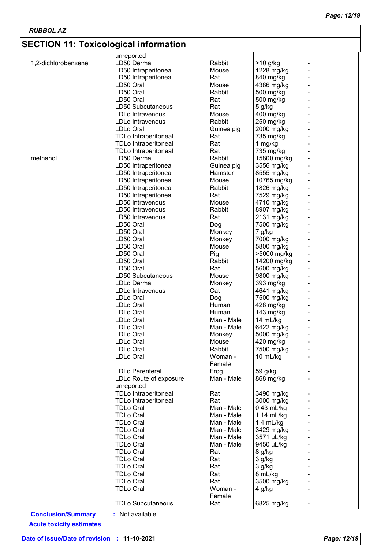## **SECTION 11: Toxicological information**

| LD50 Dermal<br>Rabbit<br>1,2-dichlorobenzene<br>$>10$ g/kg<br>-<br>LD50 Intraperitoneal<br>1228 mg/kg<br>Mouse<br>÷<br>Rat<br>LD50 Intraperitoneal<br>840 mg/kg<br>۰<br>LD50 Oral<br>4386 mg/kg<br>Mouse<br>LD50 Oral<br>Rabbit<br>500 mg/kg<br>LD50 Oral<br>Rat<br>500 mg/kg<br>LD50 Subcutaneous<br>Rat<br>5 g/kg<br>400 mg/kg<br>LDLo Intravenous<br>Mouse<br>-<br>Rabbit<br>250 mg/kg<br>LDLo Intravenous<br>-<br>LDLo Oral<br>2000 mg/kg<br>Guinea pig<br><b>TDLo Intraperitoneal</b><br>735 mg/kg<br>Rat<br>-<br>Rat<br><b>TDLo Intraperitoneal</b><br>1 mg/kg<br>735 mg/kg<br>Rat<br><b>TDLo Intraperitoneal</b><br>15800 mg/kg<br>methanol<br>LD50 Dermal<br>Rabbit<br>LD50 Intraperitoneal<br>3556 mg/kg<br>Guinea pig<br>LD50 Intraperitoneal<br>Hamster<br>8555 mg/kg<br>÷<br>LD50 Intraperitoneal<br>Mouse<br>10765 mg/kg<br>LD50 Intraperitoneal<br>Rabbit<br>1826 mg/kg<br>LD50 Intraperitoneal<br>Rat<br>7529 mg/kg<br>-<br>LD50 Intravenous<br>4710 mg/kg<br>Mouse<br>LD50 Intravenous<br>8907 mg/kg<br>Rabbit<br>LD50 Intravenous<br>Rat<br>2131 mg/kg<br>7500 mg/kg<br>LD50 Oral<br>Dog<br>L,<br>LD50 Oral<br>Monkey<br>7 g/kg<br>LD50 Oral<br>Monkey<br>7000 mg/kg<br>5800 mg/kg<br>LD50 Oral<br>Mouse<br>Pig<br>LD50 Oral<br>>5000 mg/kg<br>÷<br>LD50 Oral<br>Rabbit<br>14200 mg/kg<br>Rat<br>5600 mg/kg<br>LD50 Oral<br>LD50 Subcutaneous<br>9800 mg/kg<br>Mouse<br><b>LDLo Dermal</b><br>393 mg/kg<br>Monkey<br>L,<br>Cat<br>LDLo Intravenous<br>4641 mg/kg<br>÷<br>LDLo Oral<br>Dog<br>7500 mg/kg<br>÷<br>Human<br>LDLo Oral<br>428 mg/kg<br>÷<br>LDLo Oral<br>Human<br>143 mg/kg<br>÷<br>LDLo Oral<br>Man - Male<br>14 mL/kg<br>LDLo Oral<br>6422 mg/kg<br>Man - Male<br>5000 mg/kg<br>LDLo Oral<br>Monkey<br>LDLo Oral<br>420 mg/kg<br>Mouse<br>Rabbit<br>7500 mg/kg<br>LDLo Oral<br>LDLo Oral<br>Woman -<br>10 mL/kg<br>Female<br><b>LDLo Parenteral</b><br>Frog<br>59 g/kg<br>Man - Male<br>LDLo Route of exposure<br>868 mg/kg<br>unreported<br><b>TDLo Intraperitoneal</b><br>3490 mg/kg<br>Rat<br><b>TDLo Intraperitoneal</b><br>Rat<br>3000 mg/kg<br>Man - Male<br>$0,43$ mL/kg<br>TDLo Oral<br><b>TDLo Oral</b><br>Man - Male<br>1,14 mL/kg<br>TDLo Oral<br>Man - Male<br>$1,4$ mL/kg<br><b>TDLo Oral</b><br>Man - Male<br>3429 mg/kg<br>Man - Male<br>3571 uL/kg<br><b>TDLo Oral</b><br>9450 uL/kg<br><b>TDLo Oral</b><br>Man - Male<br>Rat<br>TDLo Oral<br>8 g/kg<br><b>TDLo Oral</b><br>Rat<br>3 g/kg<br>TDLo Oral<br>Rat<br>3 g/kg<br>8 mL/kg<br><b>TDLo Oral</b><br>Rat<br>Rat<br>3500 mg/kg<br><b>TDLo Oral</b><br>Woman -<br>TDLo Oral<br>4 g/kg<br>Female<br><b>TDLo Subcutaneous</b><br>Rat<br>6825 mg/kg |                           | unreported       |  |  |
|----------------------------------------------------------------------------------------------------------------------------------------------------------------------------------------------------------------------------------------------------------------------------------------------------------------------------------------------------------------------------------------------------------------------------------------------------------------------------------------------------------------------------------------------------------------------------------------------------------------------------------------------------------------------------------------------------------------------------------------------------------------------------------------------------------------------------------------------------------------------------------------------------------------------------------------------------------------------------------------------------------------------------------------------------------------------------------------------------------------------------------------------------------------------------------------------------------------------------------------------------------------------------------------------------------------------------------------------------------------------------------------------------------------------------------------------------------------------------------------------------------------------------------------------------------------------------------------------------------------------------------------------------------------------------------------------------------------------------------------------------------------------------------------------------------------------------------------------------------------------------------------------------------------------------------------------------------------------------------------------------------------------------------------------------------------------------------------------------------------------------------------------------------------------------------------------------------------------------------------------------------------------------------------------------------------------------------------------------------------------------------------------------------------------------------------------------------------------------------------------------------------------------------------------------------------------------------------------------------------------------------------------------|---------------------------|------------------|--|--|
|                                                                                                                                                                                                                                                                                                                                                                                                                                                                                                                                                                                                                                                                                                                                                                                                                                                                                                                                                                                                                                                                                                                                                                                                                                                                                                                                                                                                                                                                                                                                                                                                                                                                                                                                                                                                                                                                                                                                                                                                                                                                                                                                                                                                                                                                                                                                                                                                                                                                                                                                                                                                                                                    |                           |                  |  |  |
|                                                                                                                                                                                                                                                                                                                                                                                                                                                                                                                                                                                                                                                                                                                                                                                                                                                                                                                                                                                                                                                                                                                                                                                                                                                                                                                                                                                                                                                                                                                                                                                                                                                                                                                                                                                                                                                                                                                                                                                                                                                                                                                                                                                                                                                                                                                                                                                                                                                                                                                                                                                                                                                    |                           |                  |  |  |
|                                                                                                                                                                                                                                                                                                                                                                                                                                                                                                                                                                                                                                                                                                                                                                                                                                                                                                                                                                                                                                                                                                                                                                                                                                                                                                                                                                                                                                                                                                                                                                                                                                                                                                                                                                                                                                                                                                                                                                                                                                                                                                                                                                                                                                                                                                                                                                                                                                                                                                                                                                                                                                                    |                           |                  |  |  |
|                                                                                                                                                                                                                                                                                                                                                                                                                                                                                                                                                                                                                                                                                                                                                                                                                                                                                                                                                                                                                                                                                                                                                                                                                                                                                                                                                                                                                                                                                                                                                                                                                                                                                                                                                                                                                                                                                                                                                                                                                                                                                                                                                                                                                                                                                                                                                                                                                                                                                                                                                                                                                                                    |                           |                  |  |  |
|                                                                                                                                                                                                                                                                                                                                                                                                                                                                                                                                                                                                                                                                                                                                                                                                                                                                                                                                                                                                                                                                                                                                                                                                                                                                                                                                                                                                                                                                                                                                                                                                                                                                                                                                                                                                                                                                                                                                                                                                                                                                                                                                                                                                                                                                                                                                                                                                                                                                                                                                                                                                                                                    |                           |                  |  |  |
|                                                                                                                                                                                                                                                                                                                                                                                                                                                                                                                                                                                                                                                                                                                                                                                                                                                                                                                                                                                                                                                                                                                                                                                                                                                                                                                                                                                                                                                                                                                                                                                                                                                                                                                                                                                                                                                                                                                                                                                                                                                                                                                                                                                                                                                                                                                                                                                                                                                                                                                                                                                                                                                    |                           |                  |  |  |
|                                                                                                                                                                                                                                                                                                                                                                                                                                                                                                                                                                                                                                                                                                                                                                                                                                                                                                                                                                                                                                                                                                                                                                                                                                                                                                                                                                                                                                                                                                                                                                                                                                                                                                                                                                                                                                                                                                                                                                                                                                                                                                                                                                                                                                                                                                                                                                                                                                                                                                                                                                                                                                                    |                           |                  |  |  |
|                                                                                                                                                                                                                                                                                                                                                                                                                                                                                                                                                                                                                                                                                                                                                                                                                                                                                                                                                                                                                                                                                                                                                                                                                                                                                                                                                                                                                                                                                                                                                                                                                                                                                                                                                                                                                                                                                                                                                                                                                                                                                                                                                                                                                                                                                                                                                                                                                                                                                                                                                                                                                                                    |                           |                  |  |  |
|                                                                                                                                                                                                                                                                                                                                                                                                                                                                                                                                                                                                                                                                                                                                                                                                                                                                                                                                                                                                                                                                                                                                                                                                                                                                                                                                                                                                                                                                                                                                                                                                                                                                                                                                                                                                                                                                                                                                                                                                                                                                                                                                                                                                                                                                                                                                                                                                                                                                                                                                                                                                                                                    |                           |                  |  |  |
|                                                                                                                                                                                                                                                                                                                                                                                                                                                                                                                                                                                                                                                                                                                                                                                                                                                                                                                                                                                                                                                                                                                                                                                                                                                                                                                                                                                                                                                                                                                                                                                                                                                                                                                                                                                                                                                                                                                                                                                                                                                                                                                                                                                                                                                                                                                                                                                                                                                                                                                                                                                                                                                    |                           |                  |  |  |
|                                                                                                                                                                                                                                                                                                                                                                                                                                                                                                                                                                                                                                                                                                                                                                                                                                                                                                                                                                                                                                                                                                                                                                                                                                                                                                                                                                                                                                                                                                                                                                                                                                                                                                                                                                                                                                                                                                                                                                                                                                                                                                                                                                                                                                                                                                                                                                                                                                                                                                                                                                                                                                                    |                           |                  |  |  |
|                                                                                                                                                                                                                                                                                                                                                                                                                                                                                                                                                                                                                                                                                                                                                                                                                                                                                                                                                                                                                                                                                                                                                                                                                                                                                                                                                                                                                                                                                                                                                                                                                                                                                                                                                                                                                                                                                                                                                                                                                                                                                                                                                                                                                                                                                                                                                                                                                                                                                                                                                                                                                                                    |                           |                  |  |  |
|                                                                                                                                                                                                                                                                                                                                                                                                                                                                                                                                                                                                                                                                                                                                                                                                                                                                                                                                                                                                                                                                                                                                                                                                                                                                                                                                                                                                                                                                                                                                                                                                                                                                                                                                                                                                                                                                                                                                                                                                                                                                                                                                                                                                                                                                                                                                                                                                                                                                                                                                                                                                                                                    |                           |                  |  |  |
|                                                                                                                                                                                                                                                                                                                                                                                                                                                                                                                                                                                                                                                                                                                                                                                                                                                                                                                                                                                                                                                                                                                                                                                                                                                                                                                                                                                                                                                                                                                                                                                                                                                                                                                                                                                                                                                                                                                                                                                                                                                                                                                                                                                                                                                                                                                                                                                                                                                                                                                                                                                                                                                    |                           |                  |  |  |
|                                                                                                                                                                                                                                                                                                                                                                                                                                                                                                                                                                                                                                                                                                                                                                                                                                                                                                                                                                                                                                                                                                                                                                                                                                                                                                                                                                                                                                                                                                                                                                                                                                                                                                                                                                                                                                                                                                                                                                                                                                                                                                                                                                                                                                                                                                                                                                                                                                                                                                                                                                                                                                                    |                           |                  |  |  |
|                                                                                                                                                                                                                                                                                                                                                                                                                                                                                                                                                                                                                                                                                                                                                                                                                                                                                                                                                                                                                                                                                                                                                                                                                                                                                                                                                                                                                                                                                                                                                                                                                                                                                                                                                                                                                                                                                                                                                                                                                                                                                                                                                                                                                                                                                                                                                                                                                                                                                                                                                                                                                                                    |                           |                  |  |  |
|                                                                                                                                                                                                                                                                                                                                                                                                                                                                                                                                                                                                                                                                                                                                                                                                                                                                                                                                                                                                                                                                                                                                                                                                                                                                                                                                                                                                                                                                                                                                                                                                                                                                                                                                                                                                                                                                                                                                                                                                                                                                                                                                                                                                                                                                                                                                                                                                                                                                                                                                                                                                                                                    |                           |                  |  |  |
|                                                                                                                                                                                                                                                                                                                                                                                                                                                                                                                                                                                                                                                                                                                                                                                                                                                                                                                                                                                                                                                                                                                                                                                                                                                                                                                                                                                                                                                                                                                                                                                                                                                                                                                                                                                                                                                                                                                                                                                                                                                                                                                                                                                                                                                                                                                                                                                                                                                                                                                                                                                                                                                    |                           |                  |  |  |
|                                                                                                                                                                                                                                                                                                                                                                                                                                                                                                                                                                                                                                                                                                                                                                                                                                                                                                                                                                                                                                                                                                                                                                                                                                                                                                                                                                                                                                                                                                                                                                                                                                                                                                                                                                                                                                                                                                                                                                                                                                                                                                                                                                                                                                                                                                                                                                                                                                                                                                                                                                                                                                                    |                           |                  |  |  |
|                                                                                                                                                                                                                                                                                                                                                                                                                                                                                                                                                                                                                                                                                                                                                                                                                                                                                                                                                                                                                                                                                                                                                                                                                                                                                                                                                                                                                                                                                                                                                                                                                                                                                                                                                                                                                                                                                                                                                                                                                                                                                                                                                                                                                                                                                                                                                                                                                                                                                                                                                                                                                                                    |                           |                  |  |  |
|                                                                                                                                                                                                                                                                                                                                                                                                                                                                                                                                                                                                                                                                                                                                                                                                                                                                                                                                                                                                                                                                                                                                                                                                                                                                                                                                                                                                                                                                                                                                                                                                                                                                                                                                                                                                                                                                                                                                                                                                                                                                                                                                                                                                                                                                                                                                                                                                                                                                                                                                                                                                                                                    |                           |                  |  |  |
|                                                                                                                                                                                                                                                                                                                                                                                                                                                                                                                                                                                                                                                                                                                                                                                                                                                                                                                                                                                                                                                                                                                                                                                                                                                                                                                                                                                                                                                                                                                                                                                                                                                                                                                                                                                                                                                                                                                                                                                                                                                                                                                                                                                                                                                                                                                                                                                                                                                                                                                                                                                                                                                    |                           |                  |  |  |
|                                                                                                                                                                                                                                                                                                                                                                                                                                                                                                                                                                                                                                                                                                                                                                                                                                                                                                                                                                                                                                                                                                                                                                                                                                                                                                                                                                                                                                                                                                                                                                                                                                                                                                                                                                                                                                                                                                                                                                                                                                                                                                                                                                                                                                                                                                                                                                                                                                                                                                                                                                                                                                                    |                           |                  |  |  |
|                                                                                                                                                                                                                                                                                                                                                                                                                                                                                                                                                                                                                                                                                                                                                                                                                                                                                                                                                                                                                                                                                                                                                                                                                                                                                                                                                                                                                                                                                                                                                                                                                                                                                                                                                                                                                                                                                                                                                                                                                                                                                                                                                                                                                                                                                                                                                                                                                                                                                                                                                                                                                                                    |                           |                  |  |  |
|                                                                                                                                                                                                                                                                                                                                                                                                                                                                                                                                                                                                                                                                                                                                                                                                                                                                                                                                                                                                                                                                                                                                                                                                                                                                                                                                                                                                                                                                                                                                                                                                                                                                                                                                                                                                                                                                                                                                                                                                                                                                                                                                                                                                                                                                                                                                                                                                                                                                                                                                                                                                                                                    |                           |                  |  |  |
|                                                                                                                                                                                                                                                                                                                                                                                                                                                                                                                                                                                                                                                                                                                                                                                                                                                                                                                                                                                                                                                                                                                                                                                                                                                                                                                                                                                                                                                                                                                                                                                                                                                                                                                                                                                                                                                                                                                                                                                                                                                                                                                                                                                                                                                                                                                                                                                                                                                                                                                                                                                                                                                    |                           |                  |  |  |
|                                                                                                                                                                                                                                                                                                                                                                                                                                                                                                                                                                                                                                                                                                                                                                                                                                                                                                                                                                                                                                                                                                                                                                                                                                                                                                                                                                                                                                                                                                                                                                                                                                                                                                                                                                                                                                                                                                                                                                                                                                                                                                                                                                                                                                                                                                                                                                                                                                                                                                                                                                                                                                                    |                           |                  |  |  |
|                                                                                                                                                                                                                                                                                                                                                                                                                                                                                                                                                                                                                                                                                                                                                                                                                                                                                                                                                                                                                                                                                                                                                                                                                                                                                                                                                                                                                                                                                                                                                                                                                                                                                                                                                                                                                                                                                                                                                                                                                                                                                                                                                                                                                                                                                                                                                                                                                                                                                                                                                                                                                                                    |                           |                  |  |  |
|                                                                                                                                                                                                                                                                                                                                                                                                                                                                                                                                                                                                                                                                                                                                                                                                                                                                                                                                                                                                                                                                                                                                                                                                                                                                                                                                                                                                                                                                                                                                                                                                                                                                                                                                                                                                                                                                                                                                                                                                                                                                                                                                                                                                                                                                                                                                                                                                                                                                                                                                                                                                                                                    |                           |                  |  |  |
|                                                                                                                                                                                                                                                                                                                                                                                                                                                                                                                                                                                                                                                                                                                                                                                                                                                                                                                                                                                                                                                                                                                                                                                                                                                                                                                                                                                                                                                                                                                                                                                                                                                                                                                                                                                                                                                                                                                                                                                                                                                                                                                                                                                                                                                                                                                                                                                                                                                                                                                                                                                                                                                    |                           |                  |  |  |
|                                                                                                                                                                                                                                                                                                                                                                                                                                                                                                                                                                                                                                                                                                                                                                                                                                                                                                                                                                                                                                                                                                                                                                                                                                                                                                                                                                                                                                                                                                                                                                                                                                                                                                                                                                                                                                                                                                                                                                                                                                                                                                                                                                                                                                                                                                                                                                                                                                                                                                                                                                                                                                                    |                           |                  |  |  |
|                                                                                                                                                                                                                                                                                                                                                                                                                                                                                                                                                                                                                                                                                                                                                                                                                                                                                                                                                                                                                                                                                                                                                                                                                                                                                                                                                                                                                                                                                                                                                                                                                                                                                                                                                                                                                                                                                                                                                                                                                                                                                                                                                                                                                                                                                                                                                                                                                                                                                                                                                                                                                                                    |                           |                  |  |  |
|                                                                                                                                                                                                                                                                                                                                                                                                                                                                                                                                                                                                                                                                                                                                                                                                                                                                                                                                                                                                                                                                                                                                                                                                                                                                                                                                                                                                                                                                                                                                                                                                                                                                                                                                                                                                                                                                                                                                                                                                                                                                                                                                                                                                                                                                                                                                                                                                                                                                                                                                                                                                                                                    |                           |                  |  |  |
|                                                                                                                                                                                                                                                                                                                                                                                                                                                                                                                                                                                                                                                                                                                                                                                                                                                                                                                                                                                                                                                                                                                                                                                                                                                                                                                                                                                                                                                                                                                                                                                                                                                                                                                                                                                                                                                                                                                                                                                                                                                                                                                                                                                                                                                                                                                                                                                                                                                                                                                                                                                                                                                    |                           |                  |  |  |
|                                                                                                                                                                                                                                                                                                                                                                                                                                                                                                                                                                                                                                                                                                                                                                                                                                                                                                                                                                                                                                                                                                                                                                                                                                                                                                                                                                                                                                                                                                                                                                                                                                                                                                                                                                                                                                                                                                                                                                                                                                                                                                                                                                                                                                                                                                                                                                                                                                                                                                                                                                                                                                                    |                           |                  |  |  |
|                                                                                                                                                                                                                                                                                                                                                                                                                                                                                                                                                                                                                                                                                                                                                                                                                                                                                                                                                                                                                                                                                                                                                                                                                                                                                                                                                                                                                                                                                                                                                                                                                                                                                                                                                                                                                                                                                                                                                                                                                                                                                                                                                                                                                                                                                                                                                                                                                                                                                                                                                                                                                                                    |                           |                  |  |  |
|                                                                                                                                                                                                                                                                                                                                                                                                                                                                                                                                                                                                                                                                                                                                                                                                                                                                                                                                                                                                                                                                                                                                                                                                                                                                                                                                                                                                                                                                                                                                                                                                                                                                                                                                                                                                                                                                                                                                                                                                                                                                                                                                                                                                                                                                                                                                                                                                                                                                                                                                                                                                                                                    |                           |                  |  |  |
|                                                                                                                                                                                                                                                                                                                                                                                                                                                                                                                                                                                                                                                                                                                                                                                                                                                                                                                                                                                                                                                                                                                                                                                                                                                                                                                                                                                                                                                                                                                                                                                                                                                                                                                                                                                                                                                                                                                                                                                                                                                                                                                                                                                                                                                                                                                                                                                                                                                                                                                                                                                                                                                    |                           |                  |  |  |
|                                                                                                                                                                                                                                                                                                                                                                                                                                                                                                                                                                                                                                                                                                                                                                                                                                                                                                                                                                                                                                                                                                                                                                                                                                                                                                                                                                                                                                                                                                                                                                                                                                                                                                                                                                                                                                                                                                                                                                                                                                                                                                                                                                                                                                                                                                                                                                                                                                                                                                                                                                                                                                                    |                           |                  |  |  |
|                                                                                                                                                                                                                                                                                                                                                                                                                                                                                                                                                                                                                                                                                                                                                                                                                                                                                                                                                                                                                                                                                                                                                                                                                                                                                                                                                                                                                                                                                                                                                                                                                                                                                                                                                                                                                                                                                                                                                                                                                                                                                                                                                                                                                                                                                                                                                                                                                                                                                                                                                                                                                                                    |                           |                  |  |  |
|                                                                                                                                                                                                                                                                                                                                                                                                                                                                                                                                                                                                                                                                                                                                                                                                                                                                                                                                                                                                                                                                                                                                                                                                                                                                                                                                                                                                                                                                                                                                                                                                                                                                                                                                                                                                                                                                                                                                                                                                                                                                                                                                                                                                                                                                                                                                                                                                                                                                                                                                                                                                                                                    |                           |                  |  |  |
|                                                                                                                                                                                                                                                                                                                                                                                                                                                                                                                                                                                                                                                                                                                                                                                                                                                                                                                                                                                                                                                                                                                                                                                                                                                                                                                                                                                                                                                                                                                                                                                                                                                                                                                                                                                                                                                                                                                                                                                                                                                                                                                                                                                                                                                                                                                                                                                                                                                                                                                                                                                                                                                    |                           |                  |  |  |
|                                                                                                                                                                                                                                                                                                                                                                                                                                                                                                                                                                                                                                                                                                                                                                                                                                                                                                                                                                                                                                                                                                                                                                                                                                                                                                                                                                                                                                                                                                                                                                                                                                                                                                                                                                                                                                                                                                                                                                                                                                                                                                                                                                                                                                                                                                                                                                                                                                                                                                                                                                                                                                                    |                           |                  |  |  |
|                                                                                                                                                                                                                                                                                                                                                                                                                                                                                                                                                                                                                                                                                                                                                                                                                                                                                                                                                                                                                                                                                                                                                                                                                                                                                                                                                                                                                                                                                                                                                                                                                                                                                                                                                                                                                                                                                                                                                                                                                                                                                                                                                                                                                                                                                                                                                                                                                                                                                                                                                                                                                                                    |                           |                  |  |  |
|                                                                                                                                                                                                                                                                                                                                                                                                                                                                                                                                                                                                                                                                                                                                                                                                                                                                                                                                                                                                                                                                                                                                                                                                                                                                                                                                                                                                                                                                                                                                                                                                                                                                                                                                                                                                                                                                                                                                                                                                                                                                                                                                                                                                                                                                                                                                                                                                                                                                                                                                                                                                                                                    |                           |                  |  |  |
|                                                                                                                                                                                                                                                                                                                                                                                                                                                                                                                                                                                                                                                                                                                                                                                                                                                                                                                                                                                                                                                                                                                                                                                                                                                                                                                                                                                                                                                                                                                                                                                                                                                                                                                                                                                                                                                                                                                                                                                                                                                                                                                                                                                                                                                                                                                                                                                                                                                                                                                                                                                                                                                    |                           |                  |  |  |
|                                                                                                                                                                                                                                                                                                                                                                                                                                                                                                                                                                                                                                                                                                                                                                                                                                                                                                                                                                                                                                                                                                                                                                                                                                                                                                                                                                                                                                                                                                                                                                                                                                                                                                                                                                                                                                                                                                                                                                                                                                                                                                                                                                                                                                                                                                                                                                                                                                                                                                                                                                                                                                                    |                           |                  |  |  |
|                                                                                                                                                                                                                                                                                                                                                                                                                                                                                                                                                                                                                                                                                                                                                                                                                                                                                                                                                                                                                                                                                                                                                                                                                                                                                                                                                                                                                                                                                                                                                                                                                                                                                                                                                                                                                                                                                                                                                                                                                                                                                                                                                                                                                                                                                                                                                                                                                                                                                                                                                                                                                                                    |                           |                  |  |  |
|                                                                                                                                                                                                                                                                                                                                                                                                                                                                                                                                                                                                                                                                                                                                                                                                                                                                                                                                                                                                                                                                                                                                                                                                                                                                                                                                                                                                                                                                                                                                                                                                                                                                                                                                                                                                                                                                                                                                                                                                                                                                                                                                                                                                                                                                                                                                                                                                                                                                                                                                                                                                                                                    |                           |                  |  |  |
|                                                                                                                                                                                                                                                                                                                                                                                                                                                                                                                                                                                                                                                                                                                                                                                                                                                                                                                                                                                                                                                                                                                                                                                                                                                                                                                                                                                                                                                                                                                                                                                                                                                                                                                                                                                                                                                                                                                                                                                                                                                                                                                                                                                                                                                                                                                                                                                                                                                                                                                                                                                                                                                    |                           |                  |  |  |
|                                                                                                                                                                                                                                                                                                                                                                                                                                                                                                                                                                                                                                                                                                                                                                                                                                                                                                                                                                                                                                                                                                                                                                                                                                                                                                                                                                                                                                                                                                                                                                                                                                                                                                                                                                                                                                                                                                                                                                                                                                                                                                                                                                                                                                                                                                                                                                                                                                                                                                                                                                                                                                                    |                           |                  |  |  |
|                                                                                                                                                                                                                                                                                                                                                                                                                                                                                                                                                                                                                                                                                                                                                                                                                                                                                                                                                                                                                                                                                                                                                                                                                                                                                                                                                                                                                                                                                                                                                                                                                                                                                                                                                                                                                                                                                                                                                                                                                                                                                                                                                                                                                                                                                                                                                                                                                                                                                                                                                                                                                                                    |                           |                  |  |  |
|                                                                                                                                                                                                                                                                                                                                                                                                                                                                                                                                                                                                                                                                                                                                                                                                                                                                                                                                                                                                                                                                                                                                                                                                                                                                                                                                                                                                                                                                                                                                                                                                                                                                                                                                                                                                                                                                                                                                                                                                                                                                                                                                                                                                                                                                                                                                                                                                                                                                                                                                                                                                                                                    |                           |                  |  |  |
|                                                                                                                                                                                                                                                                                                                                                                                                                                                                                                                                                                                                                                                                                                                                                                                                                                                                                                                                                                                                                                                                                                                                                                                                                                                                                                                                                                                                                                                                                                                                                                                                                                                                                                                                                                                                                                                                                                                                                                                                                                                                                                                                                                                                                                                                                                                                                                                                                                                                                                                                                                                                                                                    |                           |                  |  |  |
|                                                                                                                                                                                                                                                                                                                                                                                                                                                                                                                                                                                                                                                                                                                                                                                                                                                                                                                                                                                                                                                                                                                                                                                                                                                                                                                                                                                                                                                                                                                                                                                                                                                                                                                                                                                                                                                                                                                                                                                                                                                                                                                                                                                                                                                                                                                                                                                                                                                                                                                                                                                                                                                    |                           |                  |  |  |
|                                                                                                                                                                                                                                                                                                                                                                                                                                                                                                                                                                                                                                                                                                                                                                                                                                                                                                                                                                                                                                                                                                                                                                                                                                                                                                                                                                                                                                                                                                                                                                                                                                                                                                                                                                                                                                                                                                                                                                                                                                                                                                                                                                                                                                                                                                                                                                                                                                                                                                                                                                                                                                                    |                           |                  |  |  |
|                                                                                                                                                                                                                                                                                                                                                                                                                                                                                                                                                                                                                                                                                                                                                                                                                                                                                                                                                                                                                                                                                                                                                                                                                                                                                                                                                                                                                                                                                                                                                                                                                                                                                                                                                                                                                                                                                                                                                                                                                                                                                                                                                                                                                                                                                                                                                                                                                                                                                                                                                                                                                                                    |                           |                  |  |  |
|                                                                                                                                                                                                                                                                                                                                                                                                                                                                                                                                                                                                                                                                                                                                                                                                                                                                                                                                                                                                                                                                                                                                                                                                                                                                                                                                                                                                                                                                                                                                                                                                                                                                                                                                                                                                                                                                                                                                                                                                                                                                                                                                                                                                                                                                                                                                                                                                                                                                                                                                                                                                                                                    |                           |                  |  |  |
|                                                                                                                                                                                                                                                                                                                                                                                                                                                                                                                                                                                                                                                                                                                                                                                                                                                                                                                                                                                                                                                                                                                                                                                                                                                                                                                                                                                                                                                                                                                                                                                                                                                                                                                                                                                                                                                                                                                                                                                                                                                                                                                                                                                                                                                                                                                                                                                                                                                                                                                                                                                                                                                    |                           |                  |  |  |
|                                                                                                                                                                                                                                                                                                                                                                                                                                                                                                                                                                                                                                                                                                                                                                                                                                                                                                                                                                                                                                                                                                                                                                                                                                                                                                                                                                                                                                                                                                                                                                                                                                                                                                                                                                                                                                                                                                                                                                                                                                                                                                                                                                                                                                                                                                                                                                                                                                                                                                                                                                                                                                                    |                           |                  |  |  |
|                                                                                                                                                                                                                                                                                                                                                                                                                                                                                                                                                                                                                                                                                                                                                                                                                                                                                                                                                                                                                                                                                                                                                                                                                                                                                                                                                                                                                                                                                                                                                                                                                                                                                                                                                                                                                                                                                                                                                                                                                                                                                                                                                                                                                                                                                                                                                                                                                                                                                                                                                                                                                                                    |                           |                  |  |  |
|                                                                                                                                                                                                                                                                                                                                                                                                                                                                                                                                                                                                                                                                                                                                                                                                                                                                                                                                                                                                                                                                                                                                                                                                                                                                                                                                                                                                                                                                                                                                                                                                                                                                                                                                                                                                                                                                                                                                                                                                                                                                                                                                                                                                                                                                                                                                                                                                                                                                                                                                                                                                                                                    |                           |                  |  |  |
|                                                                                                                                                                                                                                                                                                                                                                                                                                                                                                                                                                                                                                                                                                                                                                                                                                                                                                                                                                                                                                                                                                                                                                                                                                                                                                                                                                                                                                                                                                                                                                                                                                                                                                                                                                                                                                                                                                                                                                                                                                                                                                                                                                                                                                                                                                                                                                                                                                                                                                                                                                                                                                                    |                           |                  |  |  |
|                                                                                                                                                                                                                                                                                                                                                                                                                                                                                                                                                                                                                                                                                                                                                                                                                                                                                                                                                                                                                                                                                                                                                                                                                                                                                                                                                                                                                                                                                                                                                                                                                                                                                                                                                                                                                                                                                                                                                                                                                                                                                                                                                                                                                                                                                                                                                                                                                                                                                                                                                                                                                                                    |                           |                  |  |  |
|                                                                                                                                                                                                                                                                                                                                                                                                                                                                                                                                                                                                                                                                                                                                                                                                                                                                                                                                                                                                                                                                                                                                                                                                                                                                                                                                                                                                                                                                                                                                                                                                                                                                                                                                                                                                                                                                                                                                                                                                                                                                                                                                                                                                                                                                                                                                                                                                                                                                                                                                                                                                                                                    |                           |                  |  |  |
|                                                                                                                                                                                                                                                                                                                                                                                                                                                                                                                                                                                                                                                                                                                                                                                                                                                                                                                                                                                                                                                                                                                                                                                                                                                                                                                                                                                                                                                                                                                                                                                                                                                                                                                                                                                                                                                                                                                                                                                                                                                                                                                                                                                                                                                                                                                                                                                                                                                                                                                                                                                                                                                    | <b>Conclusion/Summary</b> | : Not available. |  |  |

**Acute toxicity estimates**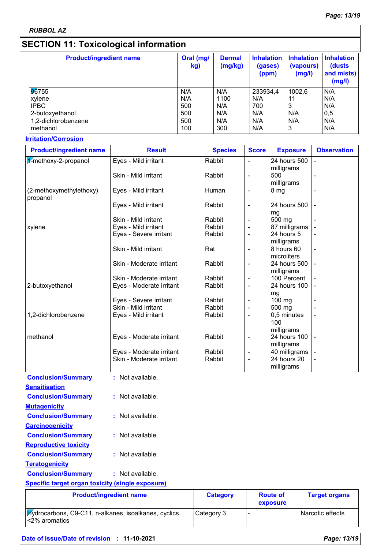*RUBBOL AZ*

## **SECTION 11: Toxicological information**

| <b>Product/ingredient name</b> | Oral (mg/<br>kg) | <b>Dermal</b><br>(mg/kg) | <b>Inhalation</b><br>(gases)<br>(ppm) | <b>Inhalation</b><br>(vapours)<br>(mg/l) | <b>Inhalation</b><br>(dusts<br>and mists)<br>(mg/l) |
|--------------------------------|------------------|--------------------------|---------------------------------------|------------------------------------------|-----------------------------------------------------|
| 96755                          | N/A              | N/A                      | 233934,4                              | 1002,6                                   | N/A                                                 |
| xylene                         | N/A              | 1100                     | N/A                                   | 11                                       | N/A                                                 |
| <b>IPBC</b>                    | 500              | N/A                      | 700                                   | 3                                        | N/A                                                 |
| 2-butoxyethanol                | 500              | N/A                      | N/A                                   | N/A                                      | 0,5                                                 |
| 1,2-dichlorobenzene            | 500              | N/A                      | N/A                                   | N/A                                      | N/A                                                 |
| methanol                       | 100              | 300                      | N/A                                   | 3                                        | N/A                                                 |

### **Irritation/Corrosion**

**Carcinogenicity**

**Reproductive toxicity**

**Teratogenicity**

| <b>Product/ingredient name</b>      | <b>Result</b>            | <b>Species</b> | <b>Score</b>   | <b>Exposure</b>    | <b>Observation</b> |
|-------------------------------------|--------------------------|----------------|----------------|--------------------|--------------------|
| 1-methoxy-2-propanol                | Eyes - Mild irritant     | Rabbit         |                | 24 hours 500       |                    |
|                                     |                          |                |                | milligrams         |                    |
|                                     | Skin - Mild irritant     | Rabbit         |                | 500                |                    |
|                                     |                          |                |                | milligrams         |                    |
| (2-methoxymethylethoxy)<br>propanol | Eyes - Mild irritant     | Human          | -              | 8 mg               |                    |
|                                     | Eyes - Mild irritant     | Rabbit         | ä,             | 24 hours 500<br>mg |                    |
|                                     | Skin - Mild irritant     | Rabbit         |                | 500 mg             |                    |
| xylene                              | Eyes - Mild irritant     | Rabbit         | -              | 87 milligrams      |                    |
|                                     | Eyes - Severe irritant   | Rabbit         | ä,             | 24 hours 5         |                    |
|                                     |                          |                |                | milligrams         |                    |
|                                     | Skin - Mild irritant     | Rat            | -              | 8 hours 60         |                    |
|                                     |                          |                |                | microliters        |                    |
|                                     | Skin - Moderate irritant | Rabbit         |                | 24 hours 500       |                    |
|                                     |                          |                |                | milligrams         |                    |
|                                     | Skin - Moderate irritant | Rabbit         |                | 100 Percent        |                    |
| 2-butoxyethanol                     | Eyes - Moderate irritant | Rabbit         | ä,             | 24 hours 100       |                    |
|                                     |                          |                |                | mg                 |                    |
|                                     | Eyes - Severe irritant   | Rabbit         |                | 100 mg             |                    |
|                                     | Skin - Mild irritant     | Rabbit         | ä,             | 500 mg             |                    |
| 1,2-dichlorobenzene                 | Eyes - Mild irritant     | Rabbit         | -              | 0,5 minutes        |                    |
|                                     |                          |                |                | 100                |                    |
|                                     |                          |                |                | milligrams         |                    |
| methanol                            | Eyes - Moderate irritant | Rabbit         | -              | 24 hours 100       |                    |
|                                     |                          |                |                | milligrams         |                    |
|                                     | Eyes - Moderate irritant | Rabbit         | ä,             | 40 milligrams      |                    |
|                                     | Skin - Moderate irritant | Rabbit         | $\blacksquare$ | 24 hours 20        |                    |
|                                     |                          |                |                | milligrams         |                    |
| <b>Conclusion/Summary</b>           | : Not available.         |                |                |                    |                    |
| <b>Sensitisation</b>                |                          |                |                |                    |                    |
| <b>Conclusion/Summary</b>           |                          |                |                |                    |                    |
|                                     | : Not available.         |                |                |                    |                    |

| <b>Conclusion/Summary</b><br>: Not available.                          |                 |                             |                      |
|------------------------------------------------------------------------|-----------------|-----------------------------|----------------------|
| <b>Specific target organ toxicity (single exposure)</b>                |                 |                             |                      |
| <b>Product/ingredient name</b>                                         | <b>Category</b> | <b>Route of</b><br>exposure | <b>Target organs</b> |
| Hydrocarbons, C9-C11, n-alkanes, isoalkanes, cyclics,<br><2% aromatics | Category 3      | -                           | Narcotic effects     |

**Conclusion/Summary :** Not available.

**Conclusion/Summary :** Not available.

**Conclusion/Summary :** Not available.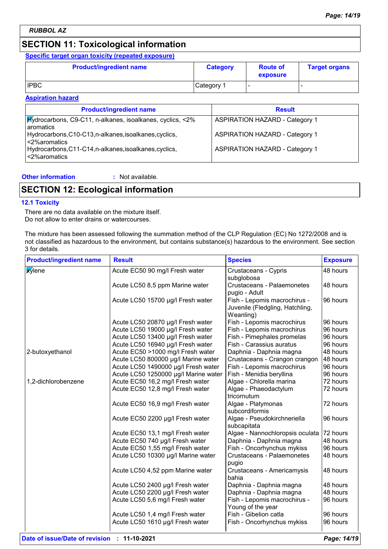## **SECTION 11: Toxicological information**

### **Specific target organ toxicity (repeated exposure)**

| <b>Product/ingredient name</b> | <b>Category</b> | <b>Route of</b><br>exposure | <b>Target organs</b> |
|--------------------------------|-----------------|-----------------------------|----------------------|
| <b>IPBC</b>                    | Category 1      |                             |                      |

### **Aspiration hazard**

| <b>Product/ingredient name</b>                                                   | <b>Result</b>                         |
|----------------------------------------------------------------------------------|---------------------------------------|
| <b>Hydrocarbons, C9-C11, n-alkanes, isoalkanes, cyclics, &lt;2%</b><br>aromatics | <b>ASPIRATION HAZARD - Category 1</b> |
| Hydrocarbons, C10-C13, n-alkanes, isoalkanes, cyclics,<br><2%aromatics           | <b>ASPIRATION HAZARD - Category 1</b> |
| Hydrocarbons, C11-C14, n-alkanes, isoalkanes, cyclics,<br><2%aromatics           | <b>ASPIRATION HAZARD - Category 1</b> |

### **Other information :**

: Not available.

## **SECTION 12: Ecological information**

### **12.1 Toxicity**

There are no data available on the mixture itself. Do not allow to enter drains or watercourses.

The mixture has been assessed following the summation method of the CLP Regulation (EC) No 1272/2008 and is not classified as hazardous to the environment, but contains substance(s) hazardous to the environment. See section 3 for details.

| <b>Product/ingredient name</b> | <b>Result</b>                        | <b>Species</b>                           | <b>Exposure</b> |
|--------------------------------|--------------------------------------|------------------------------------------|-----------------|
| <b>X</b> ylene                 | Acute EC50 90 mg/l Fresh water       | Crustaceans - Cypris                     | 48 hours        |
|                                |                                      | subglobosa                               |                 |
|                                | Acute LC50 8,5 ppm Marine water      | <b>Crustaceans - Palaemonetes</b>        | 48 hours        |
|                                |                                      | pugio - Adult                            |                 |
|                                | Acute LC50 15700 µg/l Fresh water    | Fish - Lepomis macrochirus -             | 96 hours        |
|                                |                                      | Juvenile (Fledgling, Hatchling,          |                 |
|                                |                                      | Weanling)                                |                 |
|                                | Acute LC50 20870 µg/l Fresh water    | Fish - Lepomis macrochirus               | 96 hours        |
|                                | Acute LC50 19000 µg/l Fresh water    | Fish - Lepomis macrochirus               | 96 hours        |
|                                | Acute LC50 13400 µg/l Fresh water    | Fish - Pimephales promelas               | 96 hours        |
|                                | Acute LC50 16940 µg/l Fresh water    | Fish - Carassius auratus                 | 96 hours        |
| 2-butoxyethanol                | Acute EC50 >1000 mg/l Fresh water    | Daphnia - Daphnia magna                  | 48 hours        |
|                                | Acute LC50 800000 µg/l Marine water  | Crustaceans - Crangon crangon            | 48 hours        |
|                                | Acute LC50 1490000 µg/l Fresh water  | Fish - Lepomis macrochirus               | 96 hours        |
|                                | Acute LC50 1250000 µg/l Marine water | Fish - Menidia beryllina                 | 96 hours        |
| 1,2-dichlorobenzene            | Acute EC50 16,2 mg/l Fresh water     | Algae - Chlorella marina                 | 72 hours        |
|                                | Acute EC50 12,8 mg/l Fresh water     | Algae - Phaeodactylum                    | 72 hours        |
|                                |                                      | tricornutum                              |                 |
|                                | Acute EC50 16,9 mg/l Fresh water     | Algae - Platymonas                       | 72 hours        |
|                                |                                      | subcordiformis                           |                 |
|                                | Acute EC50 2200 µg/l Fresh water     | Algae - Pseudokirchneriella              | 96 hours        |
|                                |                                      | subcapitata                              |                 |
|                                | Acute EC50 13,1 mg/l Fresh water     | Algae - Nannochloropsis oculata 72 hours |                 |
|                                | Acute EC50 740 µg/l Fresh water      | Daphnia - Daphnia magna                  | 48 hours        |
|                                | Acute EC50 1,55 mg/l Fresh water     | Fish - Oncorhynchus mykiss               | 96 hours        |
|                                | Acute LC50 10300 µg/l Marine water   | Crustaceans - Palaemonetes<br>pugio      | 48 hours        |
|                                | Acute LC50 4,52 ppm Marine water     | Crustaceans - Americamysis               | 48 hours        |
|                                |                                      | bahia                                    |                 |
|                                | Acute LC50 2400 µg/l Fresh water     | Daphnia - Daphnia magna                  | 48 hours        |
|                                | Acute LC50 2200 µg/l Fresh water     | Daphnia - Daphnia magna                  | 48 hours        |
|                                | Acute LC50 5,6 mg/l Fresh water      | Fish - Lepomis macrochirus -             | 96 hours        |
|                                |                                      | Young of the year                        |                 |
|                                | Acute LC50 1,4 mg/l Fresh water      | Fish - Gibelion catla                    | 96 hours        |
|                                | Acute LC50 1610 µg/l Fresh water     | Fish - Oncorhynchus mykiss               | 96 hours        |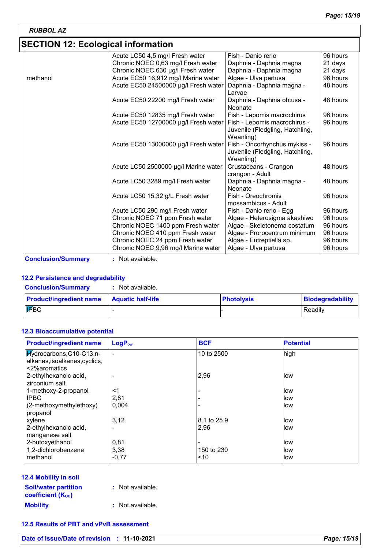## **SECTION 12: Ecological information**

|          | Acute LC50 4,5 mg/l Fresh water      | Fish - Danio rerio                                                           | 96 hours |
|----------|--------------------------------------|------------------------------------------------------------------------------|----------|
|          | Chronic NOEC 0,63 mg/l Fresh water   | Daphnia - Daphnia magna                                                      | 21 days  |
|          | Chronic NOEC 630 µg/l Fresh water    | Daphnia - Daphnia magna                                                      | 21 days  |
| methanol | Acute EC50 16,912 mg/l Marine water  | Algae - Ulva pertusa                                                         | 96 hours |
|          | Acute EC50 24500000 µg/l Fresh water | Daphnia - Daphnia magna -<br>Larvae                                          | 48 hours |
|          | Acute EC50 22200 mg/l Fresh water    | Daphnia - Daphnia obtusa -<br>Neonate                                        | 48 hours |
|          | Acute EC50 12835 mg/l Fresh water    | Fish - Lepomis macrochirus                                                   | 96 hours |
|          | Acute EC50 12700000 µg/l Fresh water | Fish - Lepomis macrochirus -<br>Juvenile (Fledgling, Hatchling,<br>Weanling) | 96 hours |
|          | Acute EC50 13000000 µg/l Fresh water | Fish - Oncorhynchus mykiss -<br>Juvenile (Fledgling, Hatchling,<br>Weanling) | 96 hours |
|          | Acute LC50 2500000 µg/l Marine water | Crustaceans - Crangon<br>crangon - Adult                                     | 48 hours |
|          | Acute LC50 3289 mg/l Fresh water     | Daphnia - Daphnia magna -<br>Neonate                                         | 48 hours |
|          | Acute LC50 15,32 g/L Fresh water     | Fish - Oreochromis<br>mossambicus - Adult                                    | 96 hours |
|          | Acute LC50 290 mg/l Fresh water      | Fish - Danio rerio - Egg                                                     | 96 hours |
|          | Chronic NOEC 71 ppm Fresh water      | Algae - Heterosigma akashiwo                                                 | 96 hours |
|          | Chronic NOEC 1400 ppm Fresh water    | Algae - Skeletonema costatum                                                 | 96 hours |
|          | Chronic NOEC 410 ppm Fresh water     | Algae - Prorocentrum minimum                                                 | 96 hours |
|          | Chronic NOEC 24 ppm Fresh water      | Algae - Eutreptiella sp.                                                     | 96 hours |
|          | Chronic NOEC 9,96 mg/l Marine water  | Algae - Ulva pertusa                                                         | 96 hours |

**Conclusion/Summary :** Not available.

### **12.2 Persistence and degradability**

| <b>Conclusion/Summary</b>      | Not available.           |                   |                  |
|--------------------------------|--------------------------|-------------------|------------------|
| <b>Product/ingredient name</b> | <b>Aquatic half-life</b> | <b>Photolysis</b> | Biodegradability |
| <b>FBC</b>                     |                          |                   | Readily          |

### **12.3 Bioaccumulative potential**

| <b>Product/ingredient name</b>                                             | LogP <sub>ow</sub> | <b>BCF</b>  | <b>Potential</b> |
|----------------------------------------------------------------------------|--------------------|-------------|------------------|
| Hydrocarbons, C10-C13, n-<br>alkanes, isoalkanes, cyclics,<br><2%aromatics | $\blacksquare$     | 10 to 2500  | high             |
| 2-ethylhexanoic acid,<br>zirconium salt                                    |                    | 2,96        | low              |
| 1-methoxy-2-propanol                                                       | <1                 |             | low              |
| <b>IPBC</b>                                                                | 2,81               |             | low              |
| (2-methoxymethylethoxy)<br>propanol                                        | 0.004              |             | low              |
| xylene                                                                     | 3,12               | 8.1 to 25.9 | low              |
| 2-ethylhexanoic acid,<br>manganese salt                                    |                    | 2,96        | low              |
| 2-butoxyethanol                                                            | 0,81               |             | low              |
| 1,2-dichlorobenzene                                                        | 3,38               | 150 to 230  | low              |
| methanol                                                                   | $-0,77$            | ~10         | low              |

| 12.4 Mobility in soil |
|-----------------------|
|-----------------------|

| <b>Soil/water partition</b>           | : Not available. |
|---------------------------------------|------------------|
| <b>coefficient</b> (K <sub>oc</sub> ) |                  |
| <b>Mobility</b>                       | : Not available. |

### **12.5 Results of PBT and vPvB assessment**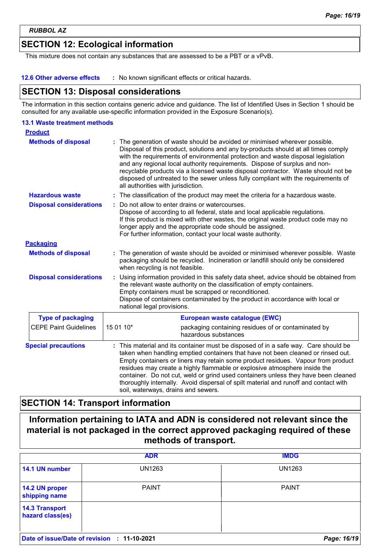## **SECTION 12: Ecological information**

This mixture does not contain any substances that are assessed to be a PBT or a vPvB.

#### **12.6 Other adverse effects :** No known significant effects or critical hazards.

### **SECTION 13: Disposal considerations**

The information in this section contains generic advice and guidance. The list of Identified Uses in Section 1 should be consulted for any available use-specific information provided in the Exposure Scenario(s).

#### **Hazardous waste :** The classification of the product may meet the criteria for a hazardous waste. **Methods of disposal : 13.1 Waste treatment methods Product Packaging Methods of disposal : Special precautions :** The generation of waste should be avoided or minimised wherever possible. Waste packaging should be recycled. Incineration or landfill should only be considered when recycling is not feasible. This material and its container must be disposed of in a safe way. Care should be taken when handling emptied containers that have not been cleaned or rinsed out. Empty containers or liners may retain some product residues. Vapour from product residues may create a highly flammable or explosive atmosphere inside the container. Do not cut, weld or grind used containers unless they have been cleaned thoroughly internally. Avoid dispersal of spilt material and runoff and contact with soil, waterways, drains and sewers. The generation of waste should be avoided or minimised wherever possible. Disposal of this product, solutions and any by-products should at all times comply with the requirements of environmental protection and waste disposal legislation and any regional local authority requirements. Dispose of surplus and nonrecyclable products via a licensed waste disposal contractor. Waste should not be disposed of untreated to the sewer unless fully compliant with the requirements of all authorities with jurisdiction. Do not allow to enter drains or watercourses. Dispose of according to all federal, state and local applicable regulations. If this product is mixed with other wastes, the original waste product code may no longer apply and the appropriate code should be assigned. For further information, contact your local waste authority. CEPE Paint Guidelines  $\begin{bmatrix} 15 & 0 & 10^* \\ 16 & 0 & 10 \end{bmatrix}$  packaging containing residues of or contaminated by hazardous substances **Type of packaging European waste catalogue (EWC) Disposal considerations : Disposal considerations :** Using information provided in this safety data sheet, advice should be obtained from the relevant waste authority on the classification of empty containers. Empty containers must be scrapped or reconditioned. Dispose of containers contaminated by the product in accordance with local or national legal provisions.

## **SECTION 14: Transport information**

**Information pertaining to IATA and ADN is considered not relevant since the material is not packaged in the correct approved packaging required of these methods of transport.**

|                                             | <b>ADR</b>   | <b>IMDG</b>   |
|---------------------------------------------|--------------|---------------|
| 14.1 UN number                              | UN1263       | <b>UN1263</b> |
| 14.2 UN proper<br>shipping name             | <b>PAINT</b> | <b>PAINT</b>  |
| <b>14.3 Transport</b><br>hazard class(es)   |              |               |
| Date of issue/Date of revision : 11-10-2021 |              | Page: 16/19   |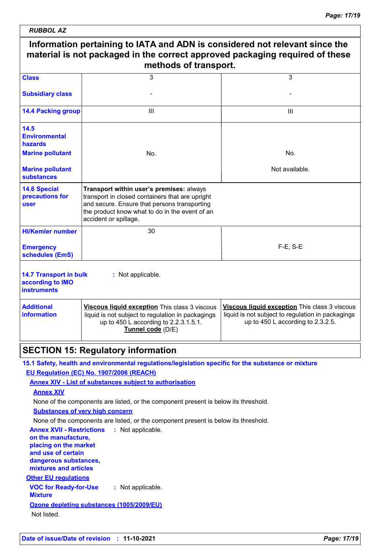| <b>RUBBOL AZ</b>                                                                                                                                                                     |                                                                                                                                                                                                                        |                                                                                                                                            |
|--------------------------------------------------------------------------------------------------------------------------------------------------------------------------------------|------------------------------------------------------------------------------------------------------------------------------------------------------------------------------------------------------------------------|--------------------------------------------------------------------------------------------------------------------------------------------|
| Information pertaining to IATA and ADN is considered not relevant since the<br>material is not packaged in the correct approved packaging required of these<br>methods of transport. |                                                                                                                                                                                                                        |                                                                                                                                            |
| <b>Class</b>                                                                                                                                                                         | 3                                                                                                                                                                                                                      | 3                                                                                                                                          |
| <b>Subsidiary class</b>                                                                                                                                                              |                                                                                                                                                                                                                        |                                                                                                                                            |
| <b>14.4 Packing group</b>                                                                                                                                                            | Ш                                                                                                                                                                                                                      | Ш                                                                                                                                          |
| 14.5<br><b>Environmental</b><br>hazards<br><b>Marine pollutant</b>                                                                                                                   | No.                                                                                                                                                                                                                    | No.                                                                                                                                        |
|                                                                                                                                                                                      |                                                                                                                                                                                                                        |                                                                                                                                            |
| <b>Marine pollutant</b><br><b>substances</b>                                                                                                                                         |                                                                                                                                                                                                                        | Not available.                                                                                                                             |
| <b>14.6 Special</b><br>precautions for<br>user                                                                                                                                       | Transport within user's premises: always<br>transport in closed containers that are upright<br>and secure. Ensure that persons transporting<br>the product know what to do in the event of an<br>accident or spillage. |                                                                                                                                            |
| <b>HI/Kemler number</b>                                                                                                                                                              | 30                                                                                                                                                                                                                     |                                                                                                                                            |
| <b>Emergency</b><br>schedules (EmS)                                                                                                                                                  |                                                                                                                                                                                                                        | $F-E$ , S-E                                                                                                                                |
| <b>14.7 Transport in bulk</b><br>according to IMO<br><b>instruments</b>                                                                                                              | : Not applicable.                                                                                                                                                                                                      |                                                                                                                                            |
| <b>Additional</b><br>information                                                                                                                                                     | Viscous liquid exception This class 3 viscous<br>liquid is not subject to regulation in packagings<br>up to 450 L according to 2.2.3.1.5.1.<br>Tunnel code (D/E)                                                       | Viscous liquid exception This class 3 viscous<br>liquid is not subject to regulation in packagings<br>up to 450 L according to $2.3.2.5$ . |
|                                                                                                                                                                                      | <b>SECTION 15: Regulatory information</b>                                                                                                                                                                              |                                                                                                                                            |
|                                                                                                                                                                                      | 15.1 Safety, health and environmental regulations/legislation specific for the substance or mixture<br>EU Regulation (EC) No. 1907/2006 (REACH)                                                                        |                                                                                                                                            |
|                                                                                                                                                                                      | <b>Annex XIV - List of substances subject to authorisation</b>                                                                                                                                                         |                                                                                                                                            |
| <b>Annex XIV</b>                                                                                                                                                                     |                                                                                                                                                                                                                        |                                                                                                                                            |
|                                                                                                                                                                                      | None of the components are listed, or the component present is below its threshold.                                                                                                                                    |                                                                                                                                            |
|                                                                                                                                                                                      | <b>Substances of very high concern</b>                                                                                                                                                                                 |                                                                                                                                            |
| <b>Annex XVII - Restrictions</b>                                                                                                                                                     | None of the components are listed, or the component present is below its threshold.<br>: Not applicable.                                                                                                               |                                                                                                                                            |
| on the manufacture,                                                                                                                                                                  |                                                                                                                                                                                                                        |                                                                                                                                            |
|                                                                                                                                                                                      |                                                                                                                                                                                                                        |                                                                                                                                            |

**placing on the market and use of certain** 

**dangerous substances, mixtures and articles**

**Other EU regulations**

**VOC for Ready-for-Use Mixture :** Not applicable. **Ozone depleting substances (1005/2009/EU)**

Not listed.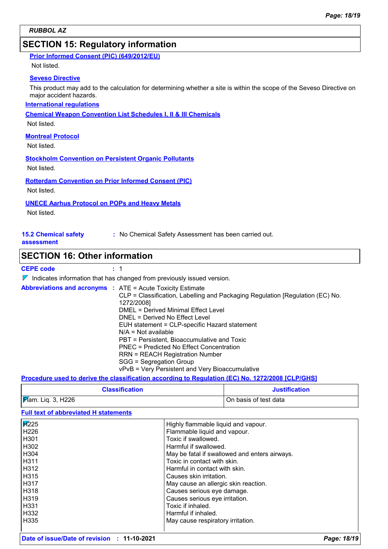## **SECTION 15: Regulatory information**

| <b>Prior Informed Consent (PIC) (649/2012/EU)</b> |  |  |
|---------------------------------------------------|--|--|
|                                                   |  |  |

Not listed.

### **Seveso Directive**

This product may add to the calculation for determining whether a site is within the scope of the Seveso Directive on major accident hazards.

### **International regulations**

**Chemical Weapon Convention List Schedules I, II & III Chemicals**

Not listed.

### **Montreal Protocol**

Not listed.

### **Stockholm Convention on Persistent Organic Pollutants**

Not listed.

**Rotterdam Convention on Prior Informed Consent (PIC)**

Not listed.

### **UNECE Aarhus Protocol on POPs and Heavy Metals**

Not listed.

**15.2 Chemical safety** 

**:** No Chemical Safety Assessment has been carried out.

#### **assessment**

### **SECTION 16: Other information**

### **CEPE code :** 1

 $\nabla$  Indicates information that has changed from previously issued version.

| <b>Abbreviations and acronyms : ATE = Acute Toxicity Estimate</b>             |  |
|-------------------------------------------------------------------------------|--|
| CLP = Classification, Labelling and Packaging Regulation [Regulation (EC) No. |  |
| 1272/2008]                                                                    |  |
| DMEL = Derived Minimal Effect Level                                           |  |
| DNEL = Derived No Effect Level                                                |  |
| EUH statement = CLP-specific Hazard statement                                 |  |
| $N/A = Not available$                                                         |  |
| PBT = Persistent, Bioaccumulative and Toxic                                   |  |
| PNEC = Predicted No Effect Concentration                                      |  |
| <b>RRN = REACH Registration Number</b>                                        |  |
| SGG = Segregation Group                                                       |  |
| vPvB = Very Persistent and Very Bioaccumulative                               |  |

### **Procedure used to derive the classification according to Regulation (EC) No. 1272/2008 [CLP/GHS]**

| <b>Classification</b>          | <b>Justification</b>  |
|--------------------------------|-----------------------|
| $\mathcal{F}$ am. Liq. 3, H226 | On basis of test data |

**Full text of abbreviated H statements**

| $\overline{H}225$<br>H226<br>H301<br>H302<br>H304 | Highly flammable liquid and vapour.<br>Flammable liquid and vapour.<br>Toxic if swallowed.<br>Harmful if swallowed.                      |
|---------------------------------------------------|------------------------------------------------------------------------------------------------------------------------------------------|
| H311<br>I H312<br>I H315                          | May be fatal if swallowed and enters airways.<br>Toxic in contact with skin.<br>Harmful in contact with skin.<br>Causes skin irritation. |
| I H317                                            | May cause an allergic skin reaction.                                                                                                     |
| H318                                              | Causes serious eye damage.                                                                                                               |
| H319                                              | Causes serious eye irritation.                                                                                                           |
| H331                                              | Toxic if inhaled.                                                                                                                        |
| H332                                              | Harmful if inhaled.                                                                                                                      |
| H335                                              | May cause respiratory irritation.                                                                                                        |